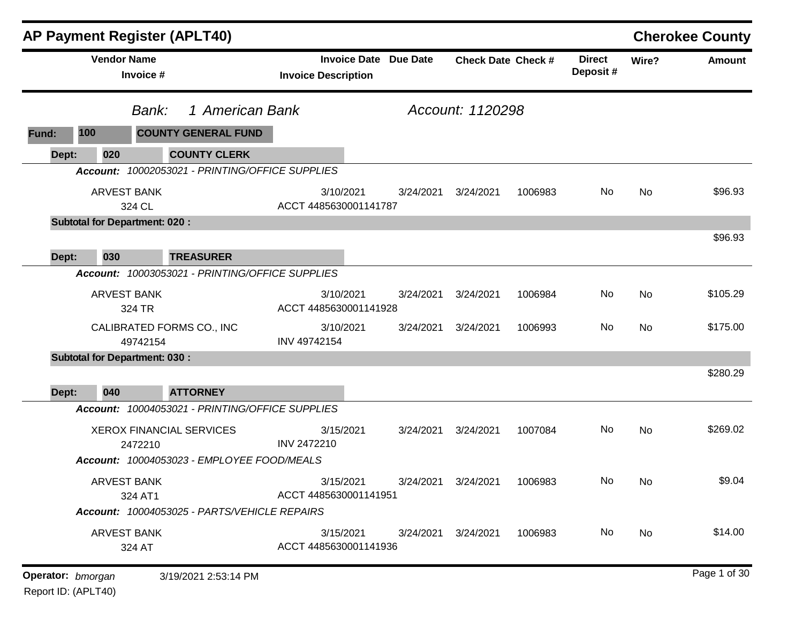| <b>AP Payment Register (APLT40)</b>  |                                                 |                                    |                              |                               |         |                           |           | <b>Cherokee County</b> |
|--------------------------------------|-------------------------------------------------|------------------------------------|------------------------------|-------------------------------|---------|---------------------------|-----------|------------------------|
| <b>Vendor Name</b><br>Invoice #      |                                                 | <b>Invoice Description</b>         | <b>Invoice Date Due Date</b> | <b>Check Date Check #</b>     |         | <b>Direct</b><br>Deposit# | Wire?     | <b>Amount</b>          |
|                                      | 1 American Bank<br>Bank:                        |                                    |                              | Account: 1120298              |         |                           |           |                        |
| 100<br>Fund:                         | <b>COUNTY GENERAL FUND</b>                      |                                    |                              |                               |         |                           |           |                        |
| 020<br>Dept:                         | <b>COUNTY CLERK</b>                             |                                    |                              |                               |         |                           |           |                        |
|                                      | Account: 10002053021 - PRINTING/OFFICE SUPPLIES |                                    |                              |                               |         |                           |           |                        |
| <b>ARVEST BANK</b><br>324 CL         |                                                 | 3/10/2021<br>ACCT 4485630001141787 | 3/24/2021                    | 3/24/2021                     | 1006983 | No                        | No        | \$96.93                |
| <b>Subtotal for Department: 020:</b> |                                                 |                                    |                              |                               |         |                           |           |                        |
| 030<br>Dept:                         | <b>TREASURER</b>                                |                                    |                              |                               |         |                           |           | \$96.93                |
|                                      | Account: 10003053021 - PRINTING/OFFICE SUPPLIES |                                    |                              |                               |         |                           |           |                        |
| <b>ARVEST BANK</b><br>324 TR         |                                                 | 3/10/2021<br>ACCT 4485630001141928 | 3/24/2021                    | 3/24/2021                     | 1006984 | No                        | <b>No</b> | \$105.29               |
| 49742154                             | CALIBRATED FORMS CO., INC                       | 3/10/2021<br>INV 49742154          | 3/24/2021                    | 3/24/2021                     | 1006993 | No                        | No        | \$175.00               |
| <b>Subtotal for Department: 030:</b> |                                                 |                                    |                              |                               |         |                           |           |                        |
| Dept:<br>040                         | <b>ATTORNEY</b>                                 |                                    |                              |                               |         |                           |           | \$280.29               |
|                                      | Account: 10004053021 - PRINTING/OFFICE SUPPLIES |                                    |                              |                               |         |                           |           |                        |
| 2472210                              | <b>XEROX FINANCIAL SERVICES</b>                 | 3/15/2021<br>INV 2472210           | 3/24/2021                    | 3/24/2021                     | 1007084 | No                        | <b>No</b> | \$269.02               |
|                                      | Account: 10004053023 - EMPLOYEE FOOD/MEALS      |                                    |                              |                               |         |                           |           |                        |
| <b>ARVEST BANK</b><br>324 AT1        |                                                 | 3/15/2021<br>ACCT 4485630001141951 |                              | 3/24/2021  3/24/2021  1006983 |         | No                        | <b>No</b> | \$9.04                 |
|                                      | Account: 10004053025 - PARTS/VEHICLE REPAIRS    |                                    |                              |                               |         |                           |           |                        |
| <b>ARVEST BANK</b><br>324 AT         |                                                 | 3/15/2021<br>ACCT 4485630001141936 | 3/24/2021                    | 3/24/2021                     | 1006983 | No                        | No        | \$14.00                |
| Operator: bmorgan                    | 3/19/2021 2:53:14 PM                            |                                    |                              |                               |         |                           |           | Page 1 of 30           |

Report ID: (APLT40)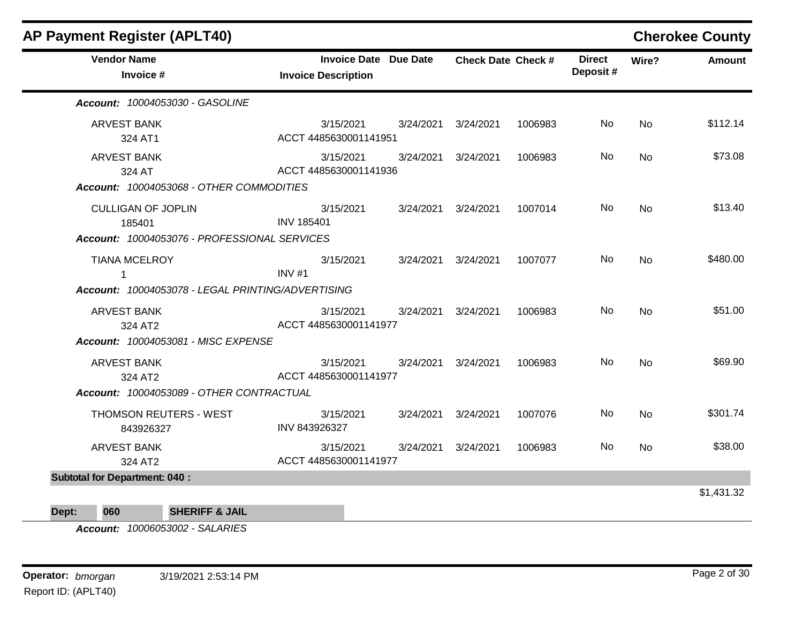| <b>AP Payment Register (APLT40)</b>               |                                                            |           |                           |         |                           |           | <b>Cherokee County</b> |
|---------------------------------------------------|------------------------------------------------------------|-----------|---------------------------|---------|---------------------------|-----------|------------------------|
| <b>Vendor Name</b><br>Invoice #                   | <b>Invoice Date Due Date</b><br><b>Invoice Description</b> |           | <b>Check Date Check #</b> |         | <b>Direct</b><br>Deposit# | Wire?     | <b>Amount</b>          |
| Account: 10004053030 - GASOLINE                   |                                                            |           |                           |         |                           |           |                        |
| <b>ARVEST BANK</b><br>324 AT1                     | 3/15/2021<br>ACCT 4485630001141951                         | 3/24/2021 | 3/24/2021                 | 1006983 | <b>No</b>                 | <b>No</b> | \$112.14               |
| <b>ARVEST BANK</b><br>324 AT                      | 3/15/2021<br>ACCT 4485630001141936                         | 3/24/2021 | 3/24/2021                 | 1006983 | No                        | <b>No</b> | \$73.08                |
| Account: 10004053068 - OTHER COMMODITIES          |                                                            |           |                           |         |                           |           |                        |
| <b>CULLIGAN OF JOPLIN</b><br>185401               | 3/15/2021<br><b>INV 185401</b>                             | 3/24/2021 | 3/24/2021                 | 1007014 | No                        | <b>No</b> | \$13.40                |
| Account: 10004053076 - PROFESSIONAL SERVICES      |                                                            |           |                           |         |                           |           |                        |
| <b>TIANA MCELROY</b><br>1                         | 3/15/2021<br>INV#1                                         | 3/24/2021 | 3/24/2021                 | 1007077 | No.                       | <b>No</b> | \$480.00               |
| Account: 10004053078 - LEGAL PRINTING/ADVERTISING |                                                            |           |                           |         |                           |           |                        |
| <b>ARVEST BANK</b><br>324 AT2                     | 3/15/2021<br>ACCT 4485630001141977                         | 3/24/2021 | 3/24/2021                 | 1006983 | <b>No</b>                 | <b>No</b> | \$51.00                |
| Account: 10004053081 - MISC EXPENSE               |                                                            |           |                           |         |                           |           |                        |
| <b>ARVEST BANK</b><br>324 AT2                     | 3/15/2021<br>ACCT 4485630001141977                         | 3/24/2021 | 3/24/2021                 | 1006983 | No                        | <b>No</b> | \$69.90                |
| Account: 10004053089 - OTHER CONTRACTUAL          |                                                            |           |                           |         |                           |           |                        |
| <b>THOMSON REUTERS - WEST</b><br>843926327        | 3/15/2021<br>INV 843926327                                 | 3/24/2021 | 3/24/2021                 | 1007076 | No                        | <b>No</b> | \$301.74               |
| <b>ARVEST BANK</b><br>324 AT2                     | 3/15/2021<br>ACCT 4485630001141977                         | 3/24/2021 | 3/24/2021                 | 1006983 | No                        | <b>No</b> | \$38.00                |
| <b>Subtotal for Department: 040:</b>              |                                                            |           |                           |         |                           |           |                        |
|                                                   |                                                            |           |                           |         |                           |           | \$1,431.32             |
| <b>SHERIFF &amp; JAIL</b><br>060<br>Dept:         |                                                            |           |                           |         |                           |           |                        |

*Account: 10006053002 - SALARIES*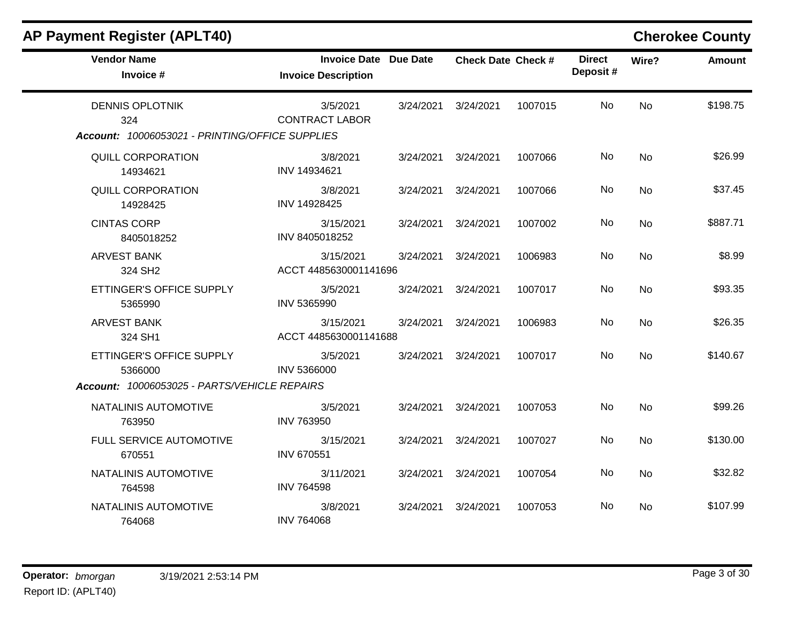| <b>AP Payment Register (APLT40)</b>                                                 |                                                            |           |                           |         |                           |           | <b>Cherokee County</b> |
|-------------------------------------------------------------------------------------|------------------------------------------------------------|-----------|---------------------------|---------|---------------------------|-----------|------------------------|
| <b>Vendor Name</b><br>Invoice #                                                     | <b>Invoice Date Due Date</b><br><b>Invoice Description</b> |           | <b>Check Date Check #</b> |         | <b>Direct</b><br>Deposit# | Wire?     | <b>Amount</b>          |
| <b>DENNIS OPLOTNIK</b><br>324<br>Account: 10006053021 - PRINTING/OFFICE SUPPLIES    | 3/5/2021<br><b>CONTRACT LABOR</b>                          | 3/24/2021 | 3/24/2021                 | 1007015 | No.                       | <b>No</b> | \$198.75               |
| QUILL CORPORATION<br>14934621                                                       | 3/8/2021<br>INV 14934621                                   | 3/24/2021 | 3/24/2021                 | 1007066 | No.                       | <b>No</b> | \$26.99                |
| <b>QUILL CORPORATION</b><br>14928425                                                | 3/8/2021<br>INV 14928425                                   | 3/24/2021 | 3/24/2021                 | 1007066 | No                        | <b>No</b> | \$37.45                |
| <b>CINTAS CORP</b><br>8405018252                                                    | 3/15/2021<br>INV 8405018252                                | 3/24/2021 | 3/24/2021                 | 1007002 | No                        | <b>No</b> | \$887.71               |
| <b>ARVEST BANK</b><br>324 SH2                                                       | 3/15/2021<br>ACCT 4485630001141696                         | 3/24/2021 | 3/24/2021                 | 1006983 | No                        | <b>No</b> | \$8.99                 |
| ETTINGER'S OFFICE SUPPLY<br>5365990                                                 | 3/5/2021<br>INV 5365990                                    | 3/24/2021 | 3/24/2021                 | 1007017 | No                        | <b>No</b> | \$93.35                |
| <b>ARVEST BANK</b><br>324 SH1                                                       | 3/15/2021<br>ACCT 4485630001141688                         | 3/24/2021 | 3/24/2021                 | 1006983 | No                        | <b>No</b> | \$26.35                |
| ETTINGER'S OFFICE SUPPLY<br>5366000<br>Account: 10006053025 - PARTS/VEHICLE REPAIRS | 3/5/2021<br><b>INV 5366000</b>                             | 3/24/2021 | 3/24/2021                 | 1007017 | <b>No</b>                 | <b>No</b> | \$140.67               |
| NATALINIS AUTOMOTIVE<br>763950                                                      | 3/5/2021<br><b>INV 763950</b>                              | 3/24/2021 | 3/24/2021                 | 1007053 | <b>No</b>                 | <b>No</b> | \$99.26                |
| FULL SERVICE AUTOMOTIVE<br>670551                                                   | 3/15/2021<br><b>INV 670551</b>                             | 3/24/2021 | 3/24/2021                 | 1007027 | No                        | <b>No</b> | \$130.00               |
| NATALINIS AUTOMOTIVE<br>764598                                                      | 3/11/2021<br><b>INV 764598</b>                             | 3/24/2021 | 3/24/2021                 | 1007054 | No                        | <b>No</b> | \$32.82                |
| NATALINIS AUTOMOTIVE<br>764068                                                      | 3/8/2021<br><b>INV 764068</b>                              | 3/24/2021 | 3/24/2021                 | 1007053 | No                        | <b>No</b> | \$107.99               |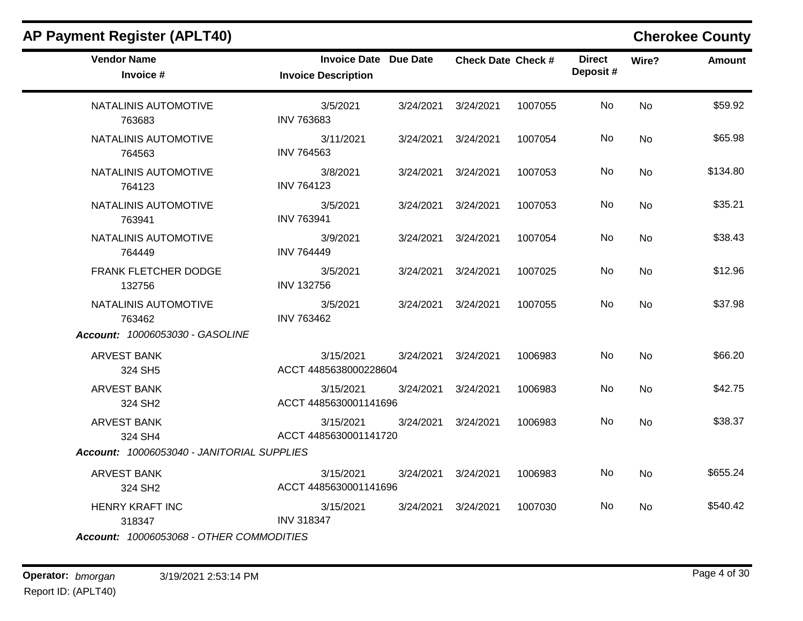| <b>AP Payment Register (APLT40)</b>        |                                                            |           |                           |         |                           |           | <b>Cherokee County</b> |
|--------------------------------------------|------------------------------------------------------------|-----------|---------------------------|---------|---------------------------|-----------|------------------------|
| <b>Vendor Name</b><br>Invoice #            | <b>Invoice Date Due Date</b><br><b>Invoice Description</b> |           | <b>Check Date Check #</b> |         | <b>Direct</b><br>Deposit# | Wire?     | Amount                 |
| NATALINIS AUTOMOTIVE<br>763683             | 3/5/2021<br><b>INV 763683</b>                              | 3/24/2021 | 3/24/2021                 | 1007055 | No                        | <b>No</b> | \$59.92                |
| NATALINIS AUTOMOTIVE<br>764563             | 3/11/2021<br><b>INV 764563</b>                             | 3/24/2021 | 3/24/2021                 | 1007054 | No                        | <b>No</b> | \$65.98                |
| NATALINIS AUTOMOTIVE<br>764123             | 3/8/2021<br><b>INV 764123</b>                              | 3/24/2021 | 3/24/2021                 | 1007053 | No                        | No        | \$134.80               |
| NATALINIS AUTOMOTIVE<br>763941             | 3/5/2021<br><b>INV 763941</b>                              |           | 3/24/2021 3/24/2021       | 1007053 | No.                       | <b>No</b> | \$35.21                |
| NATALINIS AUTOMOTIVE<br>764449             | 3/9/2021<br><b>INV 764449</b>                              | 3/24/2021 | 3/24/2021                 | 1007054 | No.                       | <b>No</b> | \$38.43                |
| FRANK FLETCHER DODGE<br>132756             | 3/5/2021<br><b>INV 132756</b>                              | 3/24/2021 | 3/24/2021                 | 1007025 | No                        | <b>No</b> | \$12.96                |
| NATALINIS AUTOMOTIVE<br>763462             | 3/5/2021<br><b>INV 763462</b>                              |           | 3/24/2021 3/24/2021       | 1007055 | No                        | No        | \$37.98                |
| Account: 10006053030 - GASOLINE            |                                                            |           |                           |         |                           |           |                        |
| <b>ARVEST BANK</b><br>324 SH5              | 3/15/2021<br>ACCT 4485638000228604                         | 3/24/2021 | 3/24/2021                 | 1006983 | No                        | No        | \$66.20                |
| <b>ARVEST BANK</b><br>324 SH <sub>2</sub>  | 3/15/2021<br>ACCT 4485630001141696                         | 3/24/2021 | 3/24/2021                 | 1006983 | No                        | <b>No</b> | \$42.75                |
| <b>ARVEST BANK</b><br>324 SH4              | 3/15/2021<br>ACCT 4485630001141720                         | 3/24/2021 | 3/24/2021                 | 1006983 | No.                       | <b>No</b> | \$38.37                |
| Account: 10006053040 - JANITORIAL SUPPLIES |                                                            |           |                           |         |                           |           |                        |
| <b>ARVEST BANK</b><br>324 SH2              | 3/15/2021<br>ACCT 4485630001141696                         |           | 3/24/2021 3/24/2021       | 1006983 | No                        | <b>No</b> | \$655.24               |
| <b>HENRY KRAFT INC</b><br>318347           | 3/15/2021<br><b>INV 318347</b>                             |           | 3/24/2021 3/24/2021       | 1007030 | No                        | <b>No</b> | \$540.42               |
| Account: 10006053068 - OTHER COMMODITIES   |                                                            |           |                           |         |                           |           |                        |

### **Operator:** bmorgan 3/19/2021 2:53:14 PM Report ID: (APLT40)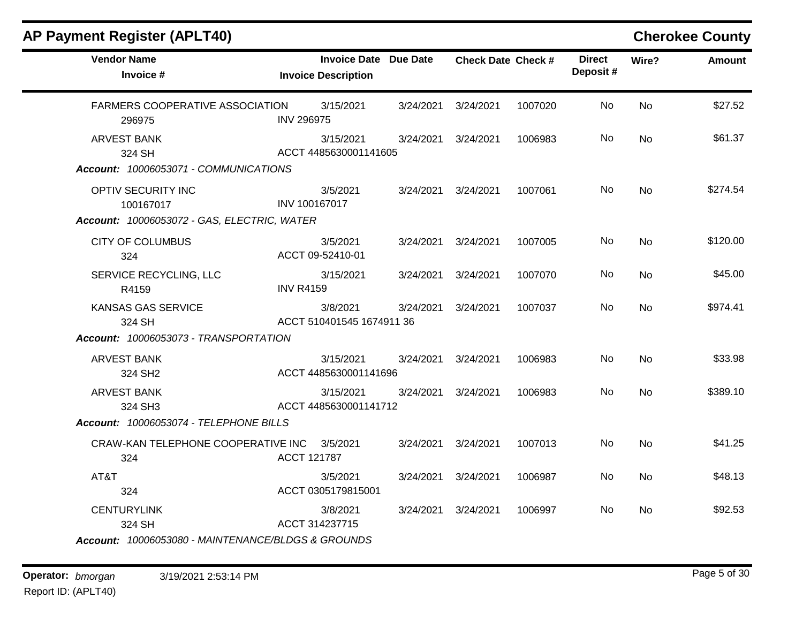| <b>AP Payment Register (APLT40)</b>                |                    |                                                            |           |                           |         |                            |           | <b>Cherokee County</b> |
|----------------------------------------------------|--------------------|------------------------------------------------------------|-----------|---------------------------|---------|----------------------------|-----------|------------------------|
| <b>Vendor Name</b><br>Invoice #                    |                    | <b>Invoice Date Due Date</b><br><b>Invoice Description</b> |           | <b>Check Date Check #</b> |         | <b>Direct</b><br>Deposit # | Wire?     | <b>Amount</b>          |
| FARMERS COOPERATIVE ASSOCIATION<br>296975          | <b>INV 296975</b>  | 3/15/2021                                                  | 3/24/2021 | 3/24/2021                 | 1007020 | No                         | <b>No</b> | \$27.52                |
| <b>ARVEST BANK</b><br>324 SH                       |                    | 3/15/2021<br>ACCT 4485630001141605                         | 3/24/2021 | 3/24/2021                 | 1006983 | No                         | <b>No</b> | \$61.37                |
| Account: 10006053071 - COMMUNICATIONS              |                    |                                                            |           |                           |         |                            |           |                        |
| OPTIV SECURITY INC<br>100167017                    | INV 100167017      | 3/5/2021                                                   |           | 3/24/2021 3/24/2021       | 1007061 | No                         | <b>No</b> | \$274.54               |
| Account: 10006053072 - GAS, ELECTRIC, WATER        |                    |                                                            |           |                           |         |                            |           |                        |
| <b>CITY OF COLUMBUS</b><br>324                     |                    | 3/5/2021<br>ACCT 09-52410-01                               | 3/24/2021 | 3/24/2021                 | 1007005 | No.                        | <b>No</b> | \$120.00               |
| SERVICE RECYCLING, LLC<br>R4159                    | <b>INV R4159</b>   | 3/15/2021                                                  | 3/24/2021 | 3/24/2021                 | 1007070 | No                         | No        | \$45.00                |
| KANSAS GAS SERVICE<br>324 SH                       |                    | 3/8/2021<br>ACCT 510401545 1674911 36                      | 3/24/2021 | 3/24/2021                 | 1007037 | No                         | <b>No</b> | \$974.41               |
| Account: 10006053073 - TRANSPORTATION              |                    |                                                            |           |                           |         |                            |           |                        |
| <b>ARVEST BANK</b><br>324 SH <sub>2</sub>          |                    | 3/15/2021<br>ACCT 4485630001141696                         |           | 3/24/2021 3/24/2021       | 1006983 | No                         | <b>No</b> | \$33.98                |
| <b>ARVEST BANK</b><br>324 SH3                      |                    | 3/15/2021<br>ACCT 4485630001141712                         | 3/24/2021 | 3/24/2021                 | 1006983 | No                         | <b>No</b> | \$389.10               |
| Account: 10006053074 - TELEPHONE BILLS             |                    |                                                            |           |                           |         |                            |           |                        |
| CRAW-KAN TELEPHONE COOPERATIVE INC<br>324          | <b>ACCT 121787</b> | 3/5/2021                                                   |           | 3/24/2021 3/24/2021       | 1007013 | No.                        | <b>No</b> | \$41.25                |
| AT&T<br>324                                        |                    | 3/5/2021<br>ACCT 0305179815001                             | 3/24/2021 | 3/24/2021                 | 1006987 | No.                        | No        | \$48.13                |
| <b>CENTURYLINK</b><br>324 SH                       |                    | 3/8/2021<br>ACCT 314237715                                 |           | 3/24/2021 3/24/2021       | 1006997 | No                         | <b>No</b> | \$92.53                |
| Account: 10006053080 - MAINTENANCE/BLDGS & GROUNDS |                    |                                                            |           |                           |         |                            |           |                        |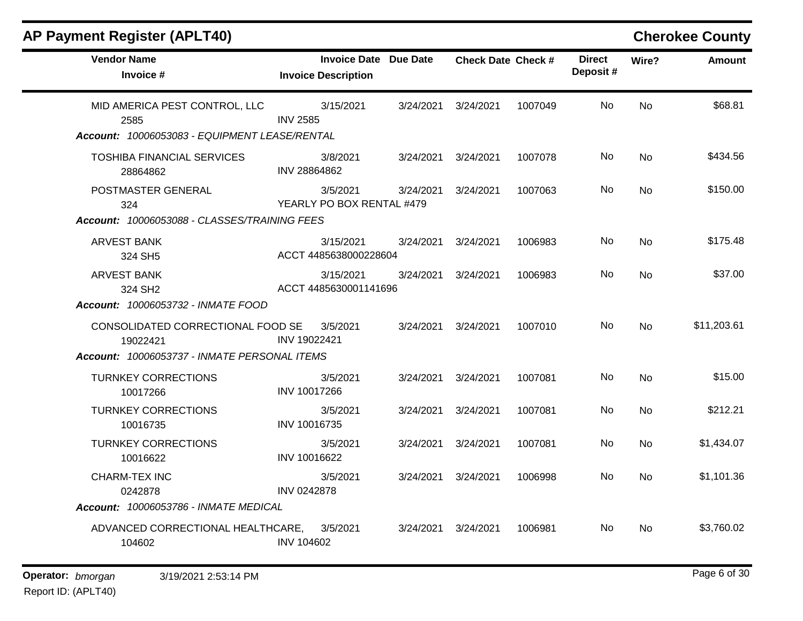| <b>AP Payment Register (APLT40)</b>           |                                                            |           |                           |         |                           |           | <b>Cherokee County</b> |
|-----------------------------------------------|------------------------------------------------------------|-----------|---------------------------|---------|---------------------------|-----------|------------------------|
| <b>Vendor Name</b><br>Invoice #               | <b>Invoice Date Due Date</b><br><b>Invoice Description</b> |           | <b>Check Date Check #</b> |         | <b>Direct</b><br>Deposit# | Wire?     | Amount                 |
| MID AMERICA PEST CONTROL, LLC<br>2585         | 3/15/2021<br><b>INV 2585</b>                               | 3/24/2021 | 3/24/2021                 | 1007049 | No                        | <b>No</b> | \$68.81                |
| Account: 10006053083 - EQUIPMENT LEASE/RENTAL |                                                            |           |                           |         |                           |           |                        |
| <b>TOSHIBA FINANCIAL SERVICES</b><br>28864862 | 3/8/2021<br>INV 28864862                                   | 3/24/2021 | 3/24/2021                 | 1007078 | No                        | No        | \$434.56               |
| POSTMASTER GENERAL<br>324                     | 3/5/2021<br>YEARLY PO BOX RENTAL #479                      | 3/24/2021 | 3/24/2021                 | 1007063 | No                        | No        | \$150.00               |
| Account: 10006053088 - CLASSES/TRAINING FEES  |                                                            |           |                           |         |                           |           |                        |
| <b>ARVEST BANK</b><br>324 SH5                 | 3/15/2021<br>ACCT 4485638000228604                         | 3/24/2021 | 3/24/2021                 | 1006983 | No                        | No        | \$175.48               |
| <b>ARVEST BANK</b><br>324 SH2                 | 3/15/2021<br>ACCT 4485630001141696                         | 3/24/2021 | 3/24/2021                 | 1006983 | No                        | No        | \$37.00                |
| Account: 10006053732 - INMATE FOOD            |                                                            |           |                           |         |                           |           |                        |
| CONSOLIDATED CORRECTIONAL FOOD SE<br>19022421 | 3/5/2021<br>INV 19022421                                   | 3/24/2021 | 3/24/2021                 | 1007010 | No                        | <b>No</b> | \$11,203.61            |
| Account: 10006053737 - INMATE PERSONAL ITEMS  |                                                            |           |                           |         |                           |           |                        |
| <b>TURNKEY CORRECTIONS</b><br>10017266        | 3/5/2021<br>INV 10017266                                   | 3/24/2021 | 3/24/2021                 | 1007081 | No                        | No        | \$15.00                |
| <b>TURNKEY CORRECTIONS</b><br>10016735        | 3/5/2021<br>INV 10016735                                   | 3/24/2021 | 3/24/2021                 | 1007081 | No.                       | <b>No</b> | \$212.21               |
| <b>TURNKEY CORRECTIONS</b><br>10016622        | 3/5/2021<br>INV 10016622                                   | 3/24/2021 | 3/24/2021                 | 1007081 | No                        | <b>No</b> | \$1,434.07             |
| <b>CHARM-TEX INC</b><br>0242878               | 3/5/2021<br><b>INV 0242878</b>                             | 3/24/2021 | 3/24/2021                 | 1006998 | No                        | <b>No</b> | \$1,101.36             |
| Account: 10006053786 - INMATE MEDICAL         |                                                            |           |                           |         |                           |           |                        |
| ADVANCED CORRECTIONAL HEALTHCARE,<br>104602   | 3/5/2021<br><b>INV 104602</b>                              | 3/24/2021 | 3/24/2021                 | 1006981 | No.                       | <b>No</b> | \$3,760.02             |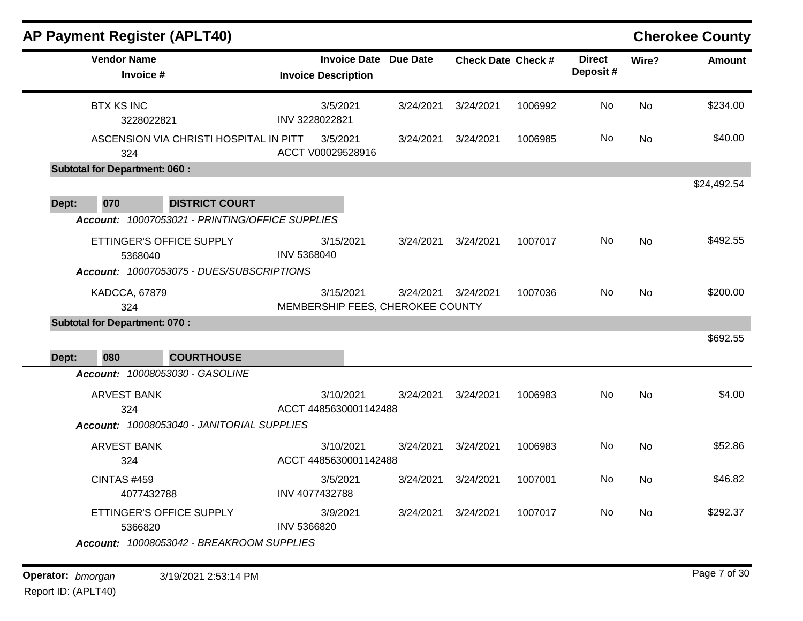|       | <b>AP Payment Register (APLT40)</b>  |                                                 |                                               |          |                              |                           |         |                           |           | <b>Cherokee County</b> |
|-------|--------------------------------------|-------------------------------------------------|-----------------------------------------------|----------|------------------------------|---------------------------|---------|---------------------------|-----------|------------------------|
|       | <b>Vendor Name</b><br>Invoice #      |                                                 | <b>Invoice Description</b>                    |          | <b>Invoice Date Due Date</b> | <b>Check Date Check #</b> |         | <b>Direct</b><br>Deposit# | Wire?     | <b>Amount</b>          |
|       | <b>BTX KS INC</b><br>3228022821      |                                                 | 3/5/2021<br>INV 3228022821                    |          | 3/24/2021                    | 3/24/2021                 | 1006992 | No.                       | <b>No</b> | \$234.00               |
|       | 324                                  | ASCENSION VIA CHRISTI HOSPITAL IN PITT          | 3/5/2021<br>ACCT V00029528916                 |          | 3/24/2021                    | 3/24/2021                 | 1006985 | No                        | No        | \$40.00                |
|       | <b>Subtotal for Department: 060:</b> |                                                 |                                               |          |                              |                           |         |                           |           |                        |
| Dept: | 070                                  | <b>DISTRICT COURT</b>                           |                                               |          |                              |                           |         |                           |           | \$24,492.54            |
|       |                                      | Account: 10007053021 - PRINTING/OFFICE SUPPLIES |                                               |          |                              |                           |         |                           |           |                        |
|       | 5368040                              | ETTINGER'S OFFICE SUPPLY                        | 3/15/2021<br>INV 5368040                      |          | 3/24/2021                    | 3/24/2021                 | 1007017 | No                        | <b>No</b> | \$492.55               |
|       |                                      | Account: 10007053075 - DUES/SUBSCRIPTIONS       |                                               |          |                              |                           |         |                           |           |                        |
|       | <b>KADCCA, 67879</b><br>324          |                                                 | 3/15/2021<br>MEMBERSHIP FEES, CHEROKEE COUNTY |          | 3/24/2021                    | 3/24/2021                 | 1007036 | No.                       | <b>No</b> | \$200.00               |
|       | <b>Subtotal for Department: 070:</b> |                                                 |                                               |          |                              |                           |         |                           |           |                        |
| Dept: | 080                                  | <b>COURTHOUSE</b>                               |                                               |          |                              |                           |         |                           |           | \$692.55               |
|       |                                      | Account: 10008053030 - GASOLINE                 |                                               |          |                              |                           |         |                           |           |                        |
|       | <b>ARVEST BANK</b><br>324            |                                                 | 3/10/2021<br>ACCT 4485630001142488            |          | 3/24/2021                    | 3/24/2021                 | 1006983 | No.                       | <b>No</b> | \$4.00                 |
|       |                                      | Account: 10008053040 - JANITORIAL SUPPLIES      |                                               |          |                              |                           |         |                           |           |                        |
|       | <b>ARVEST BANK</b><br>324            |                                                 | 3/10/2021<br>ACCT 4485630001142488            |          | 3/24/2021                    | 3/24/2021                 | 1006983 | No                        | <b>No</b> | \$52.86                |
|       | <b>CINTAS #459</b><br>4077432788     |                                                 | 3/5/2021<br>INV 4077432788                    |          | 3/24/2021                    | 3/24/2021                 | 1007001 | No.                       | <b>No</b> | \$46.82                |
|       |                                      |                                                 |                                               | 3/9/2021 | 3/24/2021                    | 3/24/2021                 | 1007017 | No                        | No        | \$292.37               |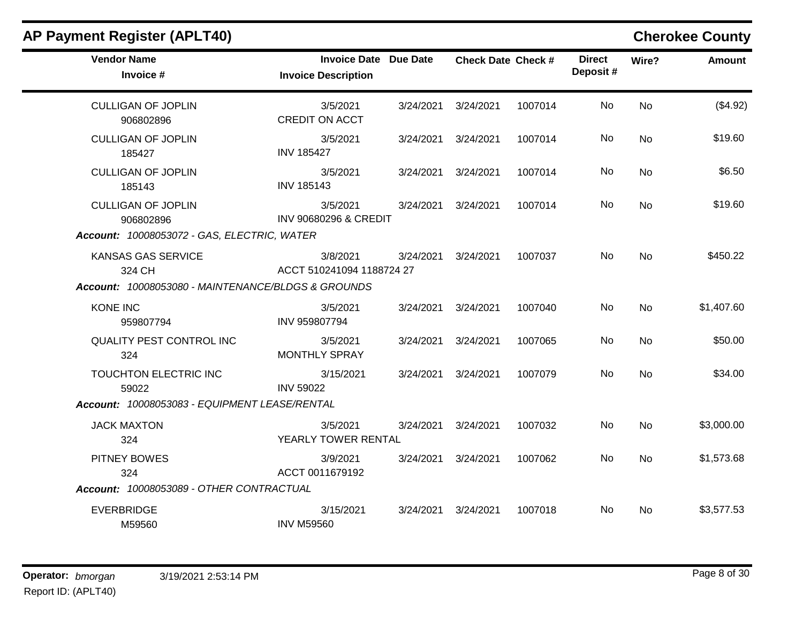| <b>Vendor Name</b><br>Invoice #                                                    | <b>Invoice Date Due Date</b><br><b>Invoice Description</b> | <b>Check Date Check #</b> |         | <b>Direct</b><br>Deposit# | Wire?     | <b>Amount</b> |
|------------------------------------------------------------------------------------|------------------------------------------------------------|---------------------------|---------|---------------------------|-----------|---------------|
| <b>CULLIGAN OF JOPLIN</b><br>906802896                                             | 3/5/2021<br><b>CREDIT ON ACCT</b>                          | 3/24/2021 3/24/2021       | 1007014 | No                        | <b>No</b> | (\$4.92)      |
| <b>CULLIGAN OF JOPLIN</b><br>185427                                                | 3/5/2021<br><b>INV 185427</b>                              | 3/24/2021 3/24/2021       | 1007014 | No                        | <b>No</b> | \$19.60       |
| <b>CULLIGAN OF JOPLIN</b><br>185143                                                | 3/5/2021<br><b>INV 185143</b>                              | 3/24/2021 3/24/2021       | 1007014 | No                        | No        | \$6.50        |
| <b>CULLIGAN OF JOPLIN</b><br>906802896                                             | 3/5/2021<br><b>INV 90680296 &amp; CREDIT</b>               | 3/24/2021 3/24/2021       | 1007014 | No                        | <b>No</b> | \$19.60       |
| Account: 10008053072 - GAS, ELECTRIC, WATER                                        |                                                            |                           |         |                           |           |               |
| KANSAS GAS SERVICE<br>324 CH<br>Account: 10008053080 - MAINTENANCE/BLDGS & GROUNDS | 3/8/2021<br>ACCT 510241094 1188724 27                      | 3/24/2021 3/24/2021       | 1007037 | No.                       | <b>No</b> | \$450.22      |
| <b>KONE INC</b><br>959807794                                                       | 3/5/2021<br>INV 959807794                                  | 3/24/2021 3/24/2021       | 1007040 | No                        | <b>No</b> | \$1,407.60    |
| <b>QUALITY PEST CONTROL INC</b><br>324                                             | 3/5/2021<br><b>MONTHLY SPRAY</b>                           | 3/24/2021 3/24/2021       | 1007065 | No.                       | <b>No</b> | \$50.00       |
| TOUCHTON ELECTRIC INC<br>59022                                                     | 3/15/2021<br><b>INV 59022</b>                              | 3/24/2021 3/24/2021       | 1007079 | <b>No</b>                 | <b>No</b> | \$34.00       |
| Account: 10008053083 - EQUIPMENT LEASE/RENTAL                                      |                                                            |                           |         |                           |           |               |
| <b>JACK MAXTON</b><br>324                                                          | 3/5/2021<br>YEARLY TOWER RENTAL                            | 3/24/2021 3/24/2021       | 1007032 | No                        | <b>No</b> | \$3,000.00    |
| PITNEY BOWES<br>324                                                                | 3/9/2021<br>ACCT 0011679192                                | 3/24/2021 3/24/2021       | 1007062 | No.                       | No        | \$1,573.68    |
| Account: 10008053089 - OTHER CONTRACTUAL                                           |                                                            |                           |         |                           |           |               |
| <b>EVERBRIDGE</b><br>M59560                                                        | 3/15/2021<br><b>INV M59560</b>                             | 3/24/2021 3/24/2021       | 1007018 | No.                       | <b>No</b> | \$3,577.53    |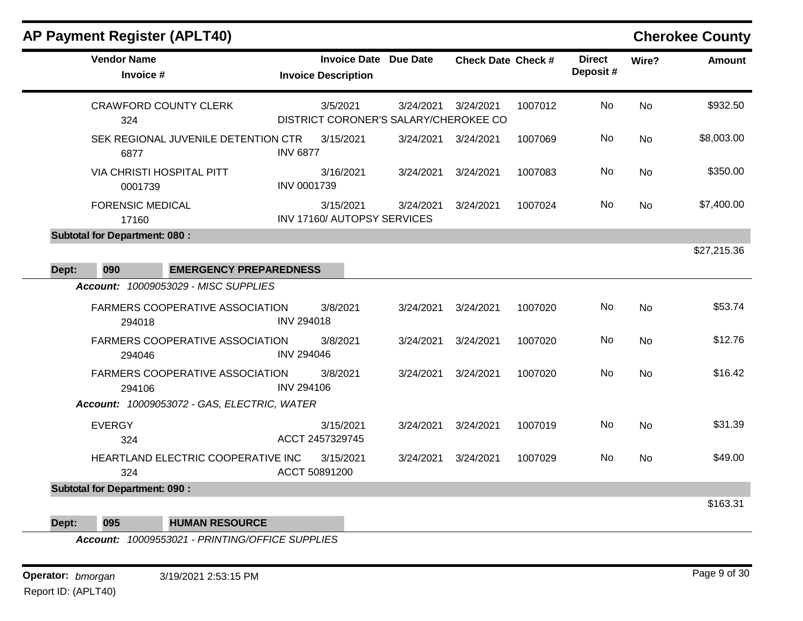|       | <b>Vendor Name</b><br>Invoice #             |                                             |                   | <b>Invoice Date Due Date</b><br><b>Invoice Description</b> |           | <b>Check Date Check #</b> |         | <b>Direct</b><br>Deposit# | Wire?     | <b>Amount</b> |
|-------|---------------------------------------------|---------------------------------------------|-------------------|------------------------------------------------------------|-----------|---------------------------|---------|---------------------------|-----------|---------------|
|       | 324                                         | <b>CRAWFORD COUNTY CLERK</b>                |                   | 3/5/2021<br>DISTRICT CORONER'S SALARY/CHEROKEE CO          | 3/24/2021 | 3/24/2021                 | 1007012 | <b>No</b>                 | <b>No</b> | \$932.50      |
|       | 6877                                        | SEK REGIONAL JUVENILE DETENTION CTR         | <b>INV 6877</b>   | 3/15/2021                                                  | 3/24/2021 | 3/24/2021                 | 1007069 | No                        | No        | \$8,003.00    |
|       | <b>VIA CHRISTI HOSPITAL PITT</b><br>0001739 |                                             | INV 0001739       | 3/16/2021                                                  | 3/24/2021 | 3/24/2021                 | 1007083 | No                        | <b>No</b> | \$350.00      |
|       | <b>FORENSIC MEDICAL</b><br>17160            |                                             |                   | 3/15/2021<br>INV 17160/ AUTOPSY SERVICES                   | 3/24/2021 | 3/24/2021                 | 1007024 | No                        | No        | \$7,400.00    |
|       | <b>Subtotal for Department: 080:</b>        |                                             |                   |                                                            |           |                           |         |                           |           |               |
| Dept: | 090                                         | <b>EMERGENCY PREPAREDNESS</b>               |                   |                                                            |           |                           |         |                           |           | \$27,215.36   |
|       |                                             | <b>Account: 10009053029 - MISC SUPPLIES</b> |                   |                                                            |           |                           |         |                           |           |               |
|       | 294018                                      | FARMERS COOPERATIVE ASSOCIATION             | <b>INV 294018</b> | 3/8/2021                                                   | 3/24/2021 | 3/24/2021                 | 1007020 | No                        | <b>No</b> | \$53.74       |
|       | 294046                                      | <b>FARMERS COOPERATIVE ASSOCIATION</b>      | <b>INV 294046</b> | 3/8/2021                                                   | 3/24/2021 | 3/24/2021                 | 1007020 | No                        | <b>No</b> | \$12.76       |
|       | 294106                                      | <b>FARMERS COOPERATIVE ASSOCIATION</b>      | <b>INV 294106</b> | 3/8/2021                                                   | 3/24/2021 | 3/24/2021                 | 1007020 | No                        | <b>No</b> | \$16.42       |
|       |                                             | Account: 10009053072 - GAS, ELECTRIC, WATER |                   |                                                            |           |                           |         |                           |           |               |
|       | <b>EVERGY</b><br>324                        |                                             |                   | 3/15/2021<br>ACCT 2457329745                               | 3/24/2021 | 3/24/2021                 | 1007019 | No                        | <b>No</b> | \$31.39       |
|       | 324                                         | HEARTLAND ELECTRIC COOPERATIVE INC          | ACCT 50891200     | 3/15/2021                                                  | 3/24/2021 | 3/24/2021                 | 1007029 | <b>No</b>                 | <b>No</b> | \$49.00       |
|       | <b>Subtotal for Department: 090:</b>        |                                             |                   |                                                            |           |                           |         |                           |           |               |
|       |                                             |                                             |                   |                                                            |           |                           |         |                           |           | \$163.31      |

**Dept: 095 HUMAN RESOURCE**

*Account: 10009553021 - PRINTING/OFFICE SUPPLIES*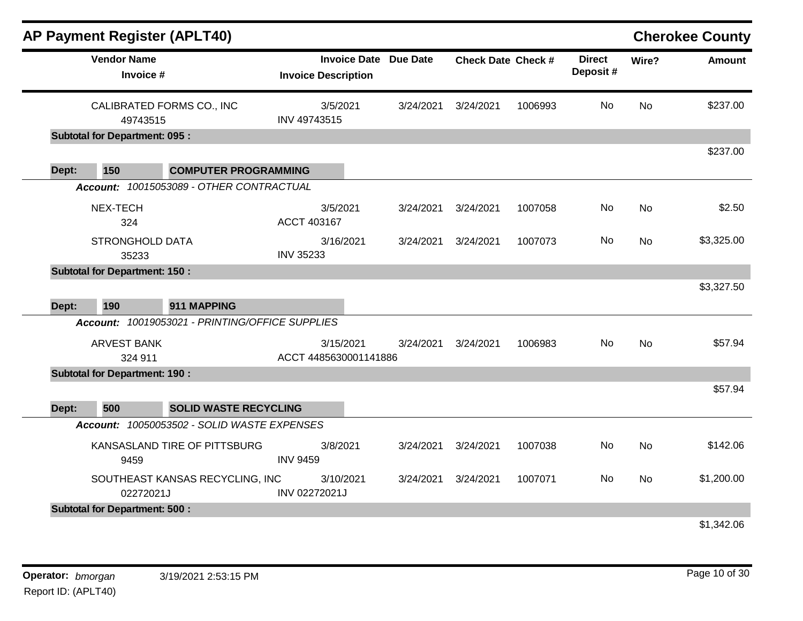|       | AP Payment Register (APLT40)         |                                                 |                                                            |           |                           |         |                           |           | <b>Cherokee County</b> |
|-------|--------------------------------------|-------------------------------------------------|------------------------------------------------------------|-----------|---------------------------|---------|---------------------------|-----------|------------------------|
|       | <b>Vendor Name</b><br>Invoice #      |                                                 | <b>Invoice Date Due Date</b><br><b>Invoice Description</b> |           | <b>Check Date Check #</b> |         | <b>Direct</b><br>Deposit# | Wire?     | <b>Amount</b>          |
|       | 49743515                             | CALIBRATED FORMS CO., INC                       | 3/5/2021<br>INV 49743515                                   | 3/24/2021 | 3/24/2021                 | 1006993 | No                        | <b>No</b> | \$237.00               |
|       | <b>Subtotal for Department: 095:</b> |                                                 |                                                            |           |                           |         |                           |           |                        |
| Dept: | 150                                  | <b>COMPUTER PROGRAMMING</b>                     |                                                            |           |                           |         |                           |           | \$237.00               |
|       |                                      | Account: 10015053089 - OTHER CONTRACTUAL        |                                                            |           |                           |         |                           |           |                        |
|       | NEX-TECH<br>324                      |                                                 | 3/5/2021<br>ACCT 403167                                    | 3/24/2021 | 3/24/2021                 | 1007058 | No                        | <b>No</b> | \$2.50                 |
|       | <b>STRONGHOLD DATA</b><br>35233      |                                                 | 3/16/2021<br><b>INV 35233</b>                              | 3/24/2021 | 3/24/2021                 | 1007073 | No.                       | <b>No</b> | \$3,325.00             |
|       | <b>Subtotal for Department: 150:</b> |                                                 |                                                            |           |                           |         |                           |           | \$3,327.50             |
| Dept: | 190                                  | 911 MAPPING                                     |                                                            |           |                           |         |                           |           |                        |
|       |                                      | Account: 10019053021 - PRINTING/OFFICE SUPPLIES |                                                            |           |                           |         |                           |           |                        |
|       | <b>ARVEST BANK</b><br>324 911        |                                                 | 3/15/2021<br>ACCT 4485630001141886                         | 3/24/2021 | 3/24/2021                 | 1006983 | No                        | <b>No</b> | \$57.94                |
|       | <b>Subtotal for Department: 190:</b> |                                                 |                                                            |           |                           |         |                           |           |                        |
| Dept: | 500                                  | <b>SOLID WASTE RECYCLING</b>                    |                                                            |           |                           |         |                           |           | \$57.94                |
|       |                                      | Account: 10050053502 - SOLID WASTE EXPENSES     |                                                            |           |                           |         |                           |           |                        |
|       | 9459                                 | KANSASLAND TIRE OF PITTSBURG                    | 3/8/2021<br><b>INV 9459</b>                                | 3/24/2021 | 3/24/2021                 | 1007038 | No                        | <b>No</b> | \$142.06               |
|       | 02272021J                            | SOUTHEAST KANSAS RECYCLING, INC                 | 3/10/2021<br>INV 02272021J                                 | 3/24/2021 | 3/24/2021                 | 1007071 | <b>No</b>                 | <b>No</b> | \$1,200.00             |
|       | <b>Subtotal for Department: 500:</b> |                                                 |                                                            |           |                           |         |                           |           |                        |
|       |                                      |                                                 |                                                            |           |                           |         |                           |           | \$1,342.06             |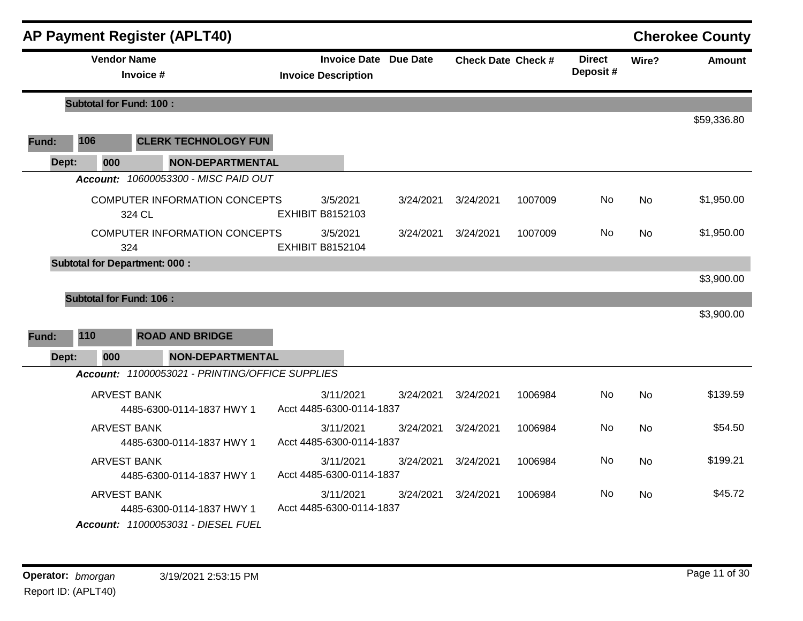|       |                                 | <b>AP Payment Register (APLT40)</b>                                                   |                                       |                              |           |                           |                           |           | <b>Cherokee County</b> |
|-------|---------------------------------|---------------------------------------------------------------------------------------|---------------------------------------|------------------------------|-----------|---------------------------|---------------------------|-----------|------------------------|
|       | <b>Vendor Name</b><br>Invoice # |                                                                                       | <b>Invoice Description</b>            | <b>Invoice Date Due Date</b> |           | <b>Check Date Check #</b> | <b>Direct</b><br>Deposit# | Wire?     | <b>Amount</b>          |
|       | <b>Subtotal for Fund: 100:</b>  |                                                                                       |                                       |                              |           |                           |                           |           |                        |
| Fund: | 106                             | <b>CLERK TECHNOLOGY FUN</b>                                                           |                                       |                              |           |                           |                           |           | \$59,336.80            |
| Dept: | 000                             | <b>NON-DEPARTMENTAL</b>                                                               |                                       |                              |           |                           |                           |           |                        |
|       |                                 | Account: 10600053300 - MISC PAID OUT                                                  |                                       |                              |           |                           |                           |           |                        |
|       |                                 | <b>COMPUTER INFORMATION CONCEPTS</b><br>324 CL                                        | 3/5/2021<br><b>EXHIBIT B8152103</b>   | 3/24/2021                    | 3/24/2021 | 1007009                   | No                        | No        | \$1,950.00             |
|       |                                 | <b>COMPUTER INFORMATION CONCEPTS</b><br>324                                           | 3/5/2021<br><b>EXHIBIT B8152104</b>   | 3/24/2021                    | 3/24/2021 | 1007009                   | <b>No</b>                 | <b>No</b> | \$1,950.00             |
|       |                                 | <b>Subtotal for Department: 000:</b>                                                  |                                       |                              |           |                           |                           |           |                        |
|       |                                 |                                                                                       |                                       |                              |           |                           |                           |           | \$3,900.00             |
|       | <b>Subtotal for Fund: 106:</b>  |                                                                                       |                                       |                              |           |                           |                           |           |                        |
| Fund: | 110                             | <b>ROAD AND BRIDGE</b>                                                                |                                       |                              |           |                           |                           |           | \$3,900.00             |
| Dept: | 000                             | <b>NON-DEPARTMENTAL</b>                                                               |                                       |                              |           |                           |                           |           |                        |
|       |                                 | Account: 11000053021 - PRINTING/OFFICE SUPPLIES                                       |                                       |                              |           |                           |                           |           |                        |
|       |                                 | <b>ARVEST BANK</b><br>4485-6300-0114-1837 HWY 1                                       | 3/11/2021<br>Acct 4485-6300-0114-1837 | 3/24/2021                    | 3/24/2021 | 1006984                   | No                        | <b>No</b> | \$139.59               |
|       |                                 | <b>ARVEST BANK</b><br>4485-6300-0114-1837 HWY 1                                       | 3/11/2021<br>Acct 4485-6300-0114-1837 | 3/24/2021                    | 3/24/2021 | 1006984                   | No                        | <b>No</b> | \$54.50                |
|       |                                 | <b>ARVEST BANK</b><br>4485-6300-0114-1837 HWY 1                                       | 3/11/2021<br>Acct 4485-6300-0114-1837 | 3/24/2021                    | 3/24/2021 | 1006984                   | No                        | <b>No</b> | \$199.21               |
|       |                                 | <b>ARVEST BANK</b><br>4485-6300-0114-1837 HWY 1<br>Account: 11000053031 - DIESEL FUEL | 3/11/2021<br>Acct 4485-6300-0114-1837 | 3/24/2021                    | 3/24/2021 | 1006984                   | No                        | <b>No</b> | \$45.72                |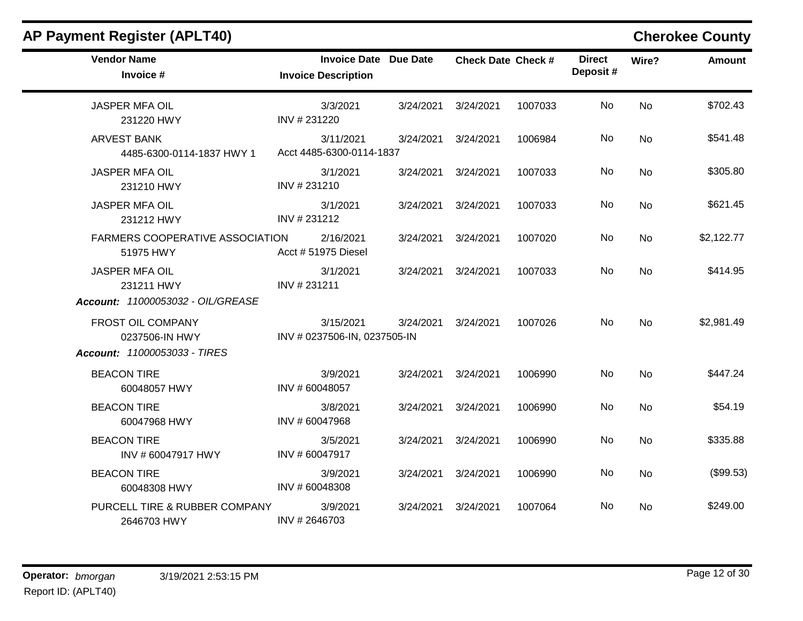| <b>Vendor Name</b><br>Invoice #                                          | <b>Invoice Date Due Date</b><br><b>Invoice Description</b> | <b>Check Date Check #</b> |         | <b>Direct</b><br>Deposit# | Wire?     | <b>Amount</b> |
|--------------------------------------------------------------------------|------------------------------------------------------------|---------------------------|---------|---------------------------|-----------|---------------|
| <b>JASPER MFA OIL</b><br>231220 HWY                                      | 3/3/2021<br>INV #231220                                    | 3/24/2021 3/24/2021       | 1007033 | No                        | <b>No</b> | \$702.43      |
| <b>ARVEST BANK</b><br>4485-6300-0114-1837 HWY 1                          | 3/11/2021<br>Acct 4485-6300-0114-1837                      | 3/24/2021 3/24/2021       | 1006984 | No                        | <b>No</b> | \$541.48      |
| <b>JASPER MFA OIL</b><br>231210 HWY                                      | 3/1/2021<br>INV #231210                                    | 3/24/2021 3/24/2021       | 1007033 | No                        | <b>No</b> | \$305.80      |
| <b>JASPER MFA OIL</b><br>231212 HWY                                      | 3/1/2021<br>INV #231212                                    | 3/24/2021 3/24/2021       | 1007033 | No                        | <b>No</b> | \$621.45      |
| FARMERS COOPERATIVE ASSOCIATION<br>51975 HWY                             | 2/16/2021<br>Acct # 51975 Diesel                           | 3/24/2021 3/24/2021       | 1007020 | No                        | <b>No</b> | \$2,122.77    |
| <b>JASPER MFA OIL</b><br>231211 HWY<br>Account: 11000053032 - OIL/GREASE | 3/1/2021<br>INV #231211                                    | 3/24/2021 3/24/2021       | 1007033 | No                        | <b>No</b> | \$414.95      |
| FROST OIL COMPANY<br>0237506-IN HWY<br>Account: 11000053033 - TIRES      | 3/15/2021<br>INV # 0237506-IN, 0237505-IN                  | 3/24/2021 3/24/2021       | 1007026 | No                        | <b>No</b> | \$2,981.49    |
| <b>BEACON TIRE</b><br>60048057 HWY                                       | 3/9/2021<br>INV #60048057                                  | 3/24/2021 3/24/2021       | 1006990 | No                        | <b>No</b> | \$447.24      |
| <b>BEACON TIRE</b><br>60047968 HWY                                       | 3/8/2021<br>INV #60047968                                  | 3/24/2021 3/24/2021       | 1006990 | No                        | <b>No</b> | \$54.19       |
| <b>BEACON TIRE</b><br>INV #60047917 HWY                                  | 3/5/2021<br>INV #60047917                                  | 3/24/2021 3/24/2021       | 1006990 | No                        | <b>No</b> | \$335.88      |
| <b>BEACON TIRE</b><br>60048308 HWY                                       | 3/9/2021<br>INV #60048308                                  | 3/24/2021 3/24/2021       | 1006990 | No                        | <b>No</b> | (\$99.53)     |
| PURCELL TIRE & RUBBER COMPANY<br>2646703 HWY                             | 3/9/2021<br>INV #2646703                                   | 3/24/2021 3/24/2021       | 1007064 | No                        | <b>No</b> | \$249.00      |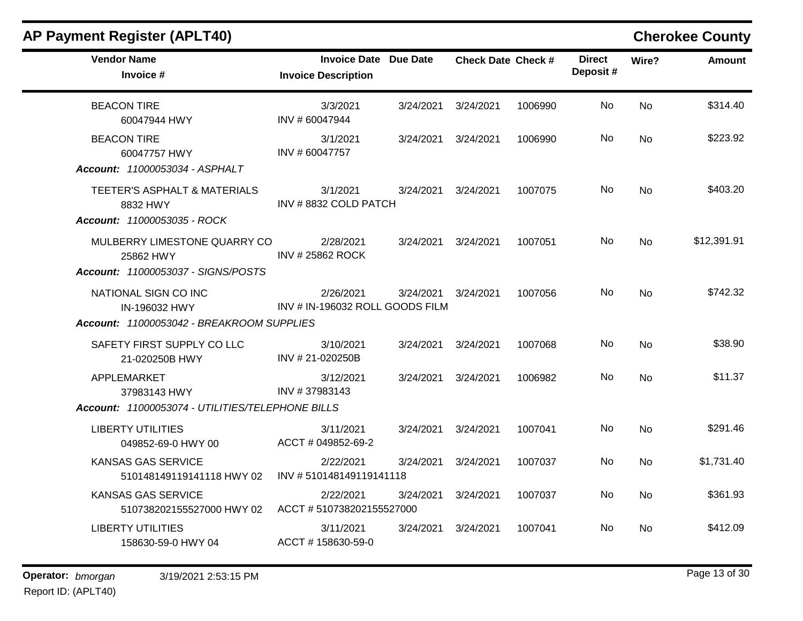| <b>AP Payment Register (APLT40)</b>                                                |                                                            |           |                           |         |                           |           | <b>Cherokee County</b> |
|------------------------------------------------------------------------------------|------------------------------------------------------------|-----------|---------------------------|---------|---------------------------|-----------|------------------------|
| <b>Vendor Name</b><br>Invoice #                                                    | <b>Invoice Date Due Date</b><br><b>Invoice Description</b> |           | <b>Check Date Check #</b> |         | <b>Direct</b><br>Deposit# | Wire?     | <b>Amount</b>          |
| <b>BEACON TIRE</b><br>60047944 HWY                                                 | 3/3/2021<br>INV #60047944                                  | 3/24/2021 | 3/24/2021                 | 1006990 | No                        | <b>No</b> | \$314.40               |
| <b>BEACON TIRE</b><br>60047757 HWY<br>Account: 11000053034 - ASPHALT               | 3/1/2021<br>INV #60047757                                  | 3/24/2021 | 3/24/2021                 | 1006990 | No                        | No        | \$223.92               |
| <b>TEETER'S ASPHALT &amp; MATERIALS</b><br>8832 HWY<br>Account: 11000053035 - ROCK | 3/1/2021<br>INV #8832 COLD PATCH                           | 3/24/2021 | 3/24/2021                 | 1007075 | No.                       | No        | \$403.20               |
| MULBERRY LIMESTONE QUARRY CO<br>25862 HWY<br>Account: 11000053037 - SIGNS/POSTS    | 2/28/2021<br><b>INV #25862 ROCK</b>                        | 3/24/2021 | 3/24/2021                 | 1007051 | No                        | No        | \$12,391.91            |
| NATIONAL SIGN CO INC<br>IN-196032 HWY<br>Account: 11000053042 - BREAKROOM SUPPLIES | 2/26/2021<br>INV # IN-196032 ROLL GOODS FILM               | 3/24/2021 | 3/24/2021                 | 1007056 | No                        | No        | \$742.32               |
| SAFETY FIRST SUPPLY CO LLC<br>21-020250B HWY                                       | 3/10/2021<br>INV #21-020250B                               | 3/24/2021 | 3/24/2021                 | 1007068 | No                        | <b>No</b> | \$38.90                |
| APPLEMARKET<br>37983143 HWY                                                        | 3/12/2021<br>INV #37983143                                 | 3/24/2021 | 3/24/2021                 | 1006982 | No.                       | <b>No</b> | \$11.37                |
| Account: 11000053074 - UTILITIES/TELEPHONE BILLS                                   |                                                            |           |                           |         |                           |           |                        |
| <b>LIBERTY UTILITIES</b><br>049852-69-0 HWY 00                                     | 3/11/2021<br>ACCT # 049852-69-2                            | 3/24/2021 | 3/24/2021                 | 1007041 | No                        | <b>No</b> | \$291.46               |
| <b>KANSAS GAS SERVICE</b><br>510148149119141118 HWY 02                             | 2/22/2021<br>INV #510148149119141118                       | 3/24/2021 | 3/24/2021                 | 1007037 | No                        | No        | \$1,731.40             |
| <b>KANSAS GAS SERVICE</b><br>510738202155527000 HWY 02                             | 2/22/2021<br>ACCT #510738202155527000                      | 3/24/2021 | 3/24/2021                 | 1007037 | No                        | <b>No</b> | \$361.93               |
| <b>LIBERTY UTILITIES</b><br>158630-59-0 HWY 04                                     | 3/11/2021<br>ACCT #158630-59-0                             | 3/24/2021 | 3/24/2021                 | 1007041 | No.                       | No        | \$412.09               |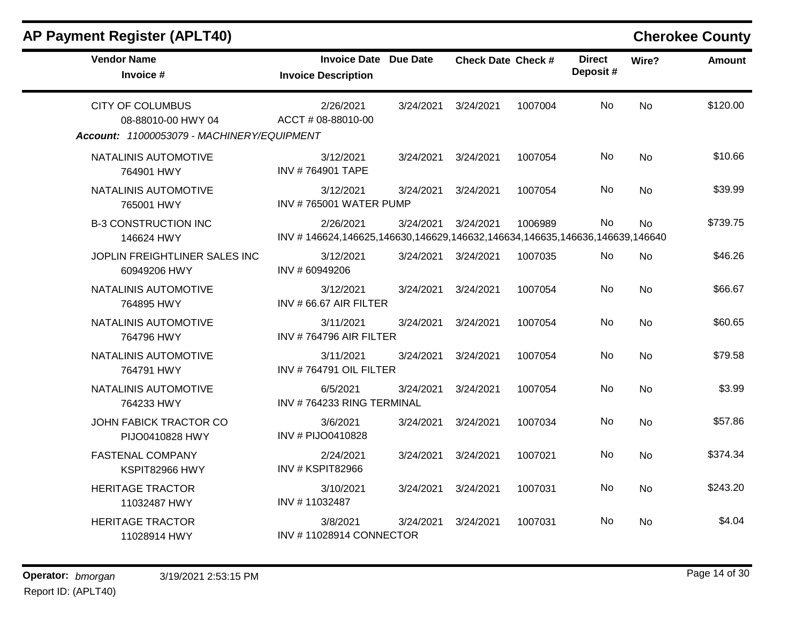| <b>Vendor Name</b><br>Invoice #                                                             | <b>Invoice Date Due Date</b><br><b>Invoice Description</b>                              |           | <b>Check Date Check #</b> |         | <b>Direct</b><br>Deposit# | Wire?     | <b>Amount</b> |
|---------------------------------------------------------------------------------------------|-----------------------------------------------------------------------------------------|-----------|---------------------------|---------|---------------------------|-----------|---------------|
| <b>CITY OF COLUMBUS</b><br>08-88010-00 HWY 04<br>Account: 11000053079 - MACHINERY/EQUIPMENT | 2/26/2021<br>ACCT # 08-88010-00                                                         | 3/24/2021 | 3/24/2021                 | 1007004 | No                        | <b>No</b> | \$120.00      |
| NATALINIS AUTOMOTIVE<br>764901 HWY                                                          | 3/12/2021<br><b>INV #764901 TAPE</b>                                                    | 3/24/2021 | 3/24/2021                 | 1007054 | No                        | <b>No</b> | \$10.66       |
| NATALINIS AUTOMOTIVE<br>765001 HWY                                                          | 3/12/2021<br>INV #765001 WATER PUMP                                                     | 3/24/2021 | 3/24/2021                 | 1007054 | No                        | No        | \$39.99       |
| <b>B-3 CONSTRUCTION INC</b><br>146624 HWY                                                   | 2/26/2021<br>INV #146624,146625,146630,146629,146632,146634,146635,146636,146639,146640 | 3/24/2021 | 3/24/2021                 | 1006989 | <b>No</b>                 | <b>No</b> | \$739.75      |
| JOPLIN FREIGHTLINER SALES INC<br>60949206 HWY                                               | 3/12/2021<br>INV #60949206                                                              | 3/24/2021 | 3/24/2021                 | 1007035 | No                        | <b>No</b> | \$46.26       |
| NATALINIS AUTOMOTIVE<br>764895 HWY                                                          | 3/12/2021<br>INV # 66.67 AIR FILTER                                                     | 3/24/2021 | 3/24/2021                 | 1007054 | No                        | <b>No</b> | \$66.67       |
| NATALINIS AUTOMOTIVE<br>764796 HWY                                                          | 3/11/2021<br>INV #764796 AIR FILTER                                                     | 3/24/2021 | 3/24/2021                 | 1007054 | No.                       | <b>No</b> | \$60.65       |
| NATALINIS AUTOMOTIVE<br>764791 HWY                                                          | 3/11/2021<br>INV #764791 OIL FILTER                                                     | 3/24/2021 | 3/24/2021                 | 1007054 | No                        | <b>No</b> | \$79.58       |
| NATALINIS AUTOMOTIVE<br>764233 HWY                                                          | 6/5/2021<br>INV #764233 RING TERMINAL                                                   | 3/24/2021 | 3/24/2021                 | 1007054 | No                        | <b>No</b> | \$3.99        |
| JOHN FABICK TRACTOR CO<br>PIJO0410828 HWY                                                   | 3/6/2021<br>INV # PIJO0410828                                                           | 3/24/2021 | 3/24/2021                 | 1007034 | No                        | <b>No</b> | \$57.86       |
| <b>FASTENAL COMPANY</b><br>KSPIT82966 HWY                                                   | 2/24/2021<br>INV # KSPIT82966                                                           | 3/24/2021 | 3/24/2021                 | 1007021 | No                        | No        | \$374.34      |
| <b>HERITAGE TRACTOR</b><br>11032487 HWY                                                     | 3/10/2021<br>INV #11032487                                                              | 3/24/2021 | 3/24/2021                 | 1007031 | No                        | <b>No</b> | \$243.20      |
| <b>HERITAGE TRACTOR</b><br>11028914 HWY                                                     | 3/8/2021<br>INV #11028914 CONNECTOR                                                     | 3/24/2021 | 3/24/2021                 | 1007031 | No                        | No.       | \$4.04        |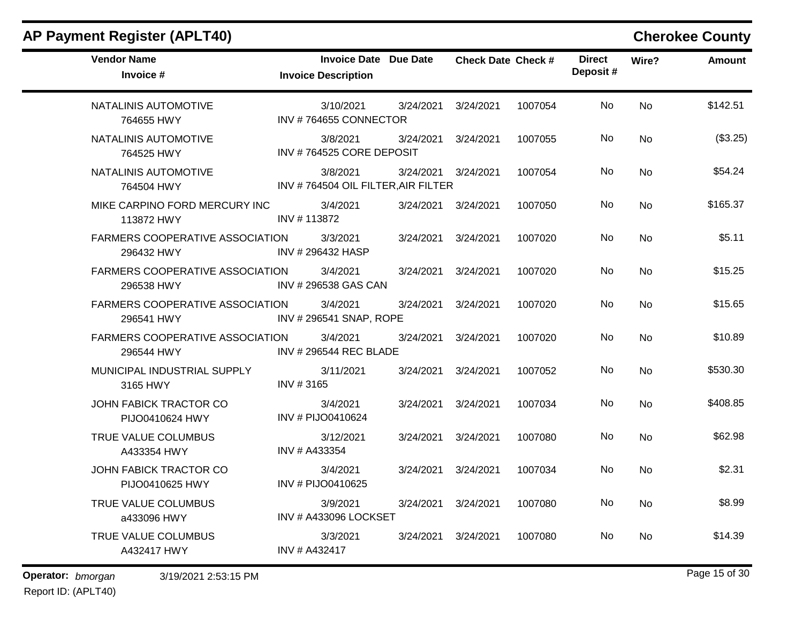| <b>Vendor Name</b><br>Invoice #                      | <b>Invoice Date Due Date</b><br><b>Invoice Description</b> |           | <b>Check Date Check #</b> |         | <b>Direct</b><br>Deposit# | Wire?     | <b>Amount</b> |
|------------------------------------------------------|------------------------------------------------------------|-----------|---------------------------|---------|---------------------------|-----------|---------------|
| NATALINIS AUTOMOTIVE<br>764655 HWY                   | 3/10/2021<br>INV #764655 CONNECTOR                         | 3/24/2021 | 3/24/2021                 | 1007054 | No                        | <b>No</b> | \$142.51      |
| NATALINIS AUTOMOTIVE<br>764525 HWY                   | 3/8/2021<br>INV #764525 CORE DEPOSIT                       | 3/24/2021 | 3/24/2021                 | 1007055 | No                        | <b>No</b> | (\$3.25)      |
| NATALINIS AUTOMOTIVE<br>764504 HWY                   | 3/8/2021<br>INV #764504 OIL FILTER, AIR FILTER             | 3/24/2021 | 3/24/2021                 | 1007054 | No.                       | <b>No</b> | \$54.24       |
| MIKE CARPINO FORD MERCURY INC<br>113872 HWY          | 3/4/2021<br>INV #113872                                    | 3/24/2021 | 3/24/2021                 | 1007050 | No                        | <b>No</b> | \$165.37      |
| <b>FARMERS COOPERATIVE ASSOCIATION</b><br>296432 HWY | 3/3/2021<br>INV #296432 HASP                               | 3/24/2021 | 3/24/2021                 | 1007020 | No.                       | <b>No</b> | \$5.11        |
| <b>FARMERS COOPERATIVE ASSOCIATION</b><br>296538 HWY | 3/4/2021<br>INV #296538 GAS CAN                            | 3/24/2021 | 3/24/2021                 | 1007020 | No                        | <b>No</b> | \$15.25       |
| FARMERS COOPERATIVE ASSOCIATION<br>296541 HWY        | 3/4/2021<br>INV # 296541 SNAP, ROPE                        | 3/24/2021 | 3/24/2021                 | 1007020 | No                        | <b>No</b> | \$15.65       |
| <b>FARMERS COOPERATIVE ASSOCIATION</b><br>296544 HWY | 3/4/2021<br>INV # 296544 REC BLADE                         | 3/24/2021 | 3/24/2021                 | 1007020 | No                        | <b>No</b> | \$10.89       |
| MUNICIPAL INDUSTRIAL SUPPLY<br>3165 HWY              | 3/11/2021<br>INV #3165                                     | 3/24/2021 | 3/24/2021                 | 1007052 | No.                       | <b>No</b> | \$530.30      |
| JOHN FABICK TRACTOR CO<br>PIJO0410624 HWY            | 3/4/2021<br>INV # PIJO0410624                              | 3/24/2021 | 3/24/2021                 | 1007034 | No                        | <b>No</b> | \$408.85      |
| TRUE VALUE COLUMBUS<br>A433354 HWY                   | 3/12/2021<br>INV # A433354                                 | 3/24/2021 | 3/24/2021                 | 1007080 | No                        | <b>No</b> | \$62.98       |
| JOHN FABICK TRACTOR CO<br>PIJO0410625 HWY            | 3/4/2021<br>INV # PIJO0410625                              | 3/24/2021 | 3/24/2021                 | 1007034 | No                        | No        | \$2.31        |
| TRUE VALUE COLUMBUS<br>a433096 HWY                   | 3/9/2021<br>INV # A433096 LOCKSET                          | 3/24/2021 | 3/24/2021                 | 1007080 | No                        | <b>No</b> | \$8.99        |
| TRUE VALUE COLUMBUS<br>A432417 HWY                   | 3/3/2021<br>INV # A432417                                  | 3/24/2021 | 3/24/2021                 | 1007080 | No.                       | <b>No</b> | \$14.39       |

**Operator:** bmorgan 3/19/2021 2:53:15 PM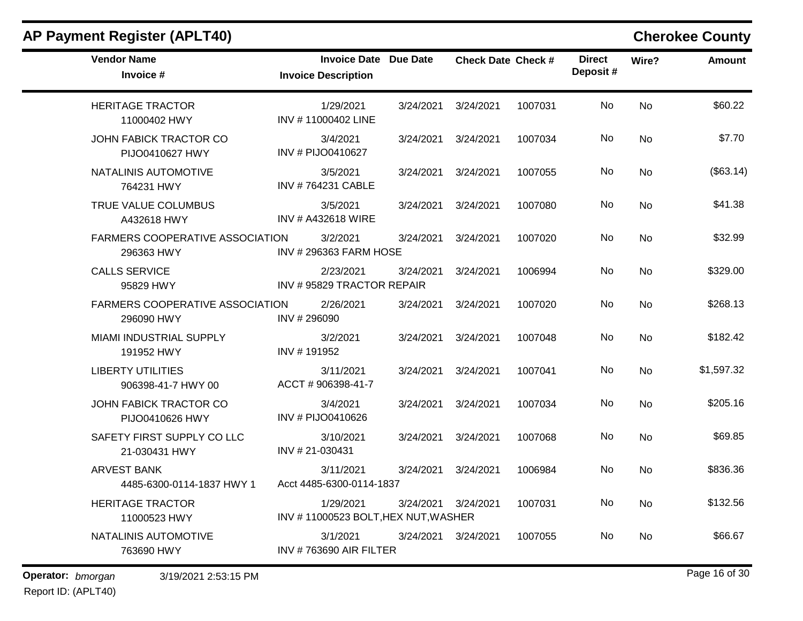| <b>Vendor Name</b><br>Invoice #                      | <b>Invoice Date</b><br><b>Invoice Description</b> | Due Date  | <b>Check Date Check #</b> |         | <b>Direct</b><br>Deposit# | Wire?     | <b>Amount</b> |
|------------------------------------------------------|---------------------------------------------------|-----------|---------------------------|---------|---------------------------|-----------|---------------|
| <b>HERITAGE TRACTOR</b><br>11000402 HWY              | 1/29/2021<br>INV #11000402 LINE                   | 3/24/2021 | 3/24/2021                 | 1007031 | No                        | <b>No</b> | \$60.22       |
| JOHN FABICK TRACTOR CO<br>PIJO0410627 HWY            | 3/4/2021<br>INV # PIJO0410627                     | 3/24/2021 | 3/24/2021                 | 1007034 | No                        | No        | \$7.70        |
| NATALINIS AUTOMOTIVE<br>764231 HWY                   | 3/5/2021<br>INV #764231 CABLE                     | 3/24/2021 | 3/24/2021                 | 1007055 | No                        | No        | (\$63.14)     |
| TRUE VALUE COLUMBUS<br>A432618 HWY                   | 3/5/2021<br>INV # A432618 WIRE                    | 3/24/2021 | 3/24/2021                 | 1007080 | No                        | No        | \$41.38       |
| FARMERS COOPERATIVE ASSOCIATION<br>296363 HWY        | 3/2/2021<br><b>INV #296363 FARM HOSE</b>          | 3/24/2021 | 3/24/2021                 | 1007020 | No                        | No        | \$32.99       |
| <b>CALLS SERVICE</b><br>95829 HWY                    | 2/23/2021<br>INV #95829 TRACTOR REPAIR            | 3/24/2021 | 3/24/2021                 | 1006994 | No                        | No        | \$329.00      |
| <b>FARMERS COOPERATIVE ASSOCIATION</b><br>296090 HWY | 2/26/2021<br>INV # 296090                         | 3/24/2021 | 3/24/2021                 | 1007020 | No                        | No        | \$268.13      |
| <b>MIAMI INDUSTRIAL SUPPLY</b><br>191952 HWY         | 3/2/2021<br>INV #191952                           | 3/24/2021 | 3/24/2021                 | 1007048 | No                        | <b>No</b> | \$182.42      |
| <b>LIBERTY UTILITIES</b><br>906398-41-7 HWY 00       | 3/11/2021<br>ACCT # 906398-41-7                   | 3/24/2021 | 3/24/2021                 | 1007041 | No                        | No        | \$1,597.32    |
| JOHN FABICK TRACTOR CO<br>PIJO0410626 HWY            | 3/4/2021<br>INV # PIJO0410626                     | 3/24/2021 | 3/24/2021                 | 1007034 | No                        | No        | \$205.16      |
| SAFETY FIRST SUPPLY CO LLC<br>21-030431 HWY          | 3/10/2021<br>INV #21-030431                       | 3/24/2021 | 3/24/2021                 | 1007068 | No                        | No        | \$69.85       |
| <b>ARVEST BANK</b><br>4485-6300-0114-1837 HWY 1      | 3/11/2021<br>Acct 4485-6300-0114-1837             | 3/24/2021 | 3/24/2021                 | 1006984 | No                        | <b>No</b> | \$836.36      |
| <b>HERITAGE TRACTOR</b><br>11000523 HWY              | 1/29/2021<br>INV #11000523 BOLT, HEX NUT, WASHER  | 3/24/2021 | 3/24/2021                 | 1007031 | No                        | No        | \$132.56      |
| NATALINIS AUTOMOTIVE<br>763690 HWY                   | 3/1/2021<br>INV #763690 AIR FILTER                | 3/24/2021 | 3/24/2021                 | 1007055 | No.                       | No        | \$66.67       |
| Operator: bmorgan<br>3/19/2021 2:53:15 PM            |                                                   |           |                           |         |                           |           | Page 16 of 30 |

Report ID: (APLT40)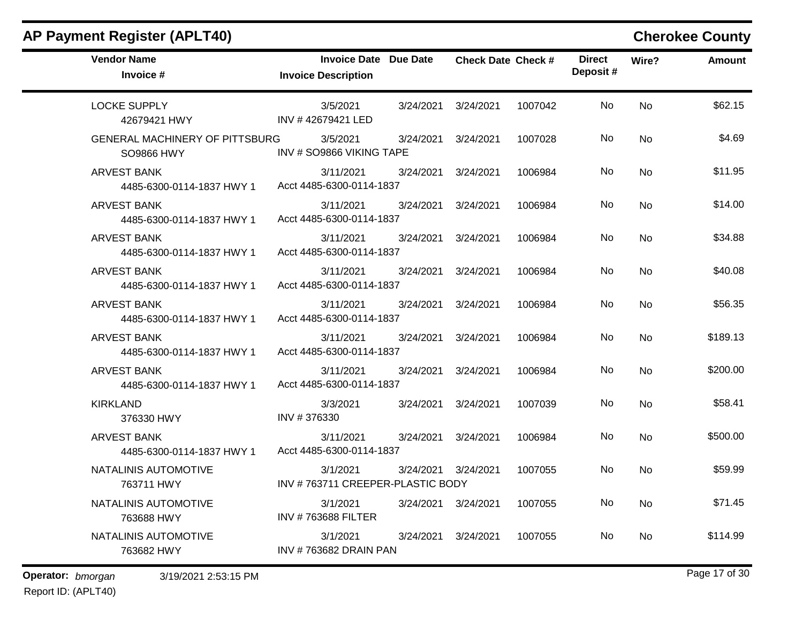|  |  |  | AP Payment Register (APLT40) |
|--|--|--|------------------------------|
|--|--|--|------------------------------|

## **Cherokee County**

| <b>Vendor Name</b><br>Invoice #                            | <b>Invoice Date Due Date</b><br><b>Invoice Description</b> |           | <b>Check Date Check #</b> |         | <b>Direct</b><br>Deposit# | Wire?     | <b>Amount</b> |
|------------------------------------------------------------|------------------------------------------------------------|-----------|---------------------------|---------|---------------------------|-----------|---------------|
| <b>LOCKE SUPPLY</b><br>42679421 HWY                        | 3/5/2021<br>INV #42679421 LED                              | 3/24/2021 | 3/24/2021                 | 1007042 | No                        | <b>No</b> | \$62.15       |
| <b>GENERAL MACHINERY OF PITTSBURG</b><br><b>SO9866 HWY</b> | 3/5/2021<br>INV # SO9866 VIKING TAPE                       | 3/24/2021 | 3/24/2021                 | 1007028 | No.                       | <b>No</b> | \$4.69        |
| <b>ARVEST BANK</b><br>4485-6300-0114-1837 HWY 1            | 3/11/2021<br>Acct 4485-6300-0114-1837                      | 3/24/2021 | 3/24/2021                 | 1006984 | No                        | <b>No</b> | \$11.95       |
| <b>ARVEST BANK</b><br>4485-6300-0114-1837 HWY 1            | 3/11/2021<br>Acct 4485-6300-0114-1837                      | 3/24/2021 | 3/24/2021                 | 1006984 | No                        | <b>No</b> | \$14.00       |
| <b>ARVEST BANK</b><br>4485-6300-0114-1837 HWY 1            | 3/11/2021<br>Acct 4485-6300-0114-1837                      | 3/24/2021 | 3/24/2021                 | 1006984 | No                        | <b>No</b> | \$34.88       |
| <b>ARVEST BANK</b><br>4485-6300-0114-1837 HWY 1            | 3/11/2021<br>Acct 4485-6300-0114-1837                      | 3/24/2021 | 3/24/2021                 | 1006984 | No                        | <b>No</b> | \$40.08       |
| <b>ARVEST BANK</b><br>4485-6300-0114-1837 HWY 1            | 3/11/2021<br>Acct 4485-6300-0114-1837                      | 3/24/2021 | 3/24/2021                 | 1006984 | No                        | <b>No</b> | \$56.35       |
| ARVEST BANK<br>4485-6300-0114-1837 HWY 1                   | 3/11/2021<br>Acct 4485-6300-0114-1837                      | 3/24/2021 | 3/24/2021                 | 1006984 | No                        | <b>No</b> | \$189.13      |
| <b>ARVEST BANK</b><br>4485-6300-0114-1837 HWY 1            | 3/11/2021<br>Acct 4485-6300-0114-1837                      | 3/24/2021 | 3/24/2021                 | 1006984 | No.                       | <b>No</b> | \$200.00      |
| <b>KIRKLAND</b><br>376330 HWY                              | 3/3/2021<br>INV #376330                                    | 3/24/2021 | 3/24/2021                 | 1007039 | No                        | <b>No</b> | \$58.41       |
| <b>ARVEST BANK</b><br>4485-6300-0114-1837 HWY 1            | 3/11/2021<br>Acct 4485-6300-0114-1837                      | 3/24/2021 | 3/24/2021                 | 1006984 | No                        | <b>No</b> | \$500.00      |
| NATALINIS AUTOMOTIVE<br>763711 HWY                         | 3/1/2021<br>INV #763711 CREEPER-PLASTIC BODY               | 3/24/2021 | 3/24/2021                 | 1007055 | No                        | <b>No</b> | \$59.99       |
| NATALINIS AUTOMOTIVE<br>763688 HWY                         | 3/1/2021<br><b>INV #763688 FILTER</b>                      | 3/24/2021 | 3/24/2021                 | 1007055 | No                        | <b>No</b> | \$71.45       |
| NATALINIS AUTOMOTIVE<br>763682 HWY                         | 3/1/2021<br><b>INV #763682 DRAIN PAN</b>                   | 3/24/2021 | 3/24/2021                 | 1007055 | No                        | <b>No</b> | \$114.99      |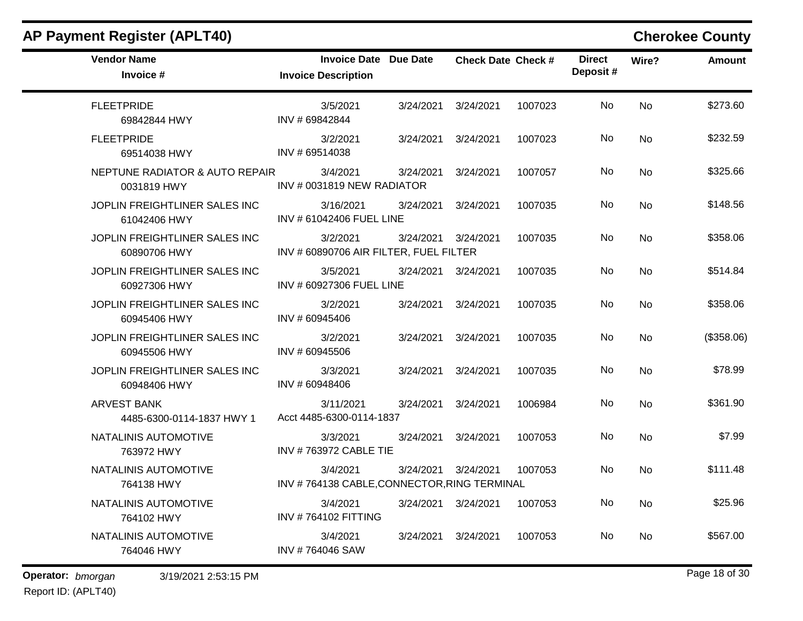| <b>AP Payment Register (APLT40)</b>             |                                                            |           |                           |         |                           |           | <b>Cherokee County</b> |
|-------------------------------------------------|------------------------------------------------------------|-----------|---------------------------|---------|---------------------------|-----------|------------------------|
| <b>Vendor Name</b><br>Invoice #                 | <b>Invoice Date Due Date</b><br><b>Invoice Description</b> |           | <b>Check Date Check #</b> |         | <b>Direct</b><br>Deposit# | Wire?     | <b>Amount</b>          |
| <b>FLEETPRIDE</b><br>69842844 HWY               | 3/5/2021<br>INV #69842844                                  | 3/24/2021 | 3/24/2021                 | 1007023 | No                        | <b>No</b> | \$273.60               |
| <b>FLEETPRIDE</b><br>69514038 HWY               | 3/2/2021<br>INV # 69514038                                 | 3/24/2021 | 3/24/2021                 | 1007023 | No                        | <b>No</b> | \$232.59               |
| NEPTUNE RADIATOR & AUTO REPAIR<br>0031819 HWY   | 3/4/2021<br>INV # 0031819 NEW RADIATOR                     | 3/24/2021 | 3/24/2021                 | 1007057 | No                        | No        | \$325.66               |
| JOPLIN FREIGHTLINER SALES INC<br>61042406 HWY   | 3/16/2021<br>INV # 61042406 FUEL LINE                      | 3/24/2021 | 3/24/2021                 | 1007035 | No                        | No        | \$148.56               |
| JOPLIN FREIGHTLINER SALES INC<br>60890706 HWY   | 3/2/2021<br>INV # 60890706 AIR FILTER, FUEL FILTER         | 3/24/2021 | 3/24/2021                 | 1007035 | No                        | No        | \$358.06               |
| JOPLIN FREIGHTLINER SALES INC<br>60927306 HWY   | 3/5/2021<br>INV # 60927306 FUEL LINE                       | 3/24/2021 | 3/24/2021                 | 1007035 | No                        | <b>No</b> | \$514.84               |
| JOPLIN FREIGHTLINER SALES INC<br>60945406 HWY   | 3/2/2021<br>INV #60945406                                  | 3/24/2021 | 3/24/2021                 | 1007035 | No                        | No        | \$358.06               |
| JOPLIN FREIGHTLINER SALES INC<br>60945506 HWY   | 3/2/2021<br>INV #60945506                                  | 3/24/2021 | 3/24/2021                 | 1007035 | No                        | <b>No</b> | (\$358.06)             |
| JOPLIN FREIGHTLINER SALES INC<br>60948406 HWY   | 3/3/2021<br>INV #60948406                                  | 3/24/2021 | 3/24/2021                 | 1007035 | No                        | No        | \$78.99                |
| <b>ARVEST BANK</b><br>4485-6300-0114-1837 HWY 1 | 3/11/2021<br>Acct 4485-6300-0114-1837                      | 3/24/2021 | 3/24/2021                 | 1006984 | No                        | No        | \$361.90               |
| NATALINIS AUTOMOTIVE<br>763972 HWY              | 3/3/2021<br><b>INV #763972 CABLE TIE</b>                   | 3/24/2021 | 3/24/2021                 | 1007053 | No                        | No        | \$7.99                 |
| NATALINIS AUTOMOTIVE<br>764138 HWY              | 3/4/2021<br>INV #764138 CABLE, CONNECTOR, RING TERMINAL    | 3/24/2021 | 3/24/2021                 | 1007053 | No                        | <b>No</b> | \$111.48               |
| NATALINIS AUTOMOTIVE<br>764102 HWY              | 3/4/2021<br><b>INV #764102 FITTING</b>                     | 3/24/2021 | 3/24/2021                 | 1007053 | No                        | No        | \$25.96                |
| NATALINIS AUTOMOTIVE<br>764046 HWY              | 3/4/2021<br>INV #764046 SAW                                | 3/24/2021 | 3/24/2021                 | 1007053 | No                        | No        | \$567.00               |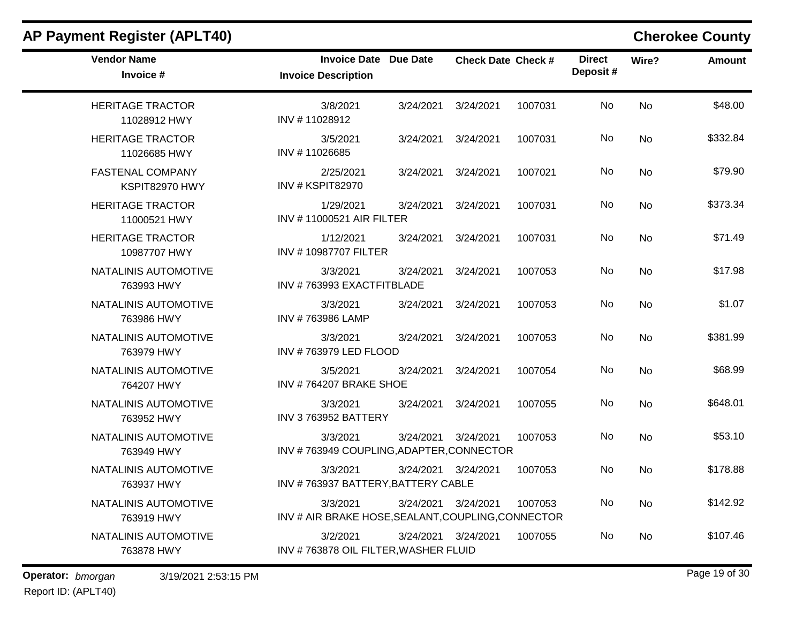| <b>AP Payment Register (APLT40)</b>       |                                                                |           |                           |         |                           |           | <b>Cherokee County</b> |
|-------------------------------------------|----------------------------------------------------------------|-----------|---------------------------|---------|---------------------------|-----------|------------------------|
| <b>Vendor Name</b><br>Invoice #           | <b>Invoice Date</b><br><b>Invoice Description</b>              | Due Date  | <b>Check Date Check #</b> |         | <b>Direct</b><br>Deposit# | Wire?     | <b>Amount</b>          |
| <b>HERITAGE TRACTOR</b><br>11028912 HWY   | 3/8/2021<br>INV #11028912                                      | 3/24/2021 | 3/24/2021                 | 1007031 | No                        | No        | \$48.00                |
| <b>HERITAGE TRACTOR</b><br>11026685 HWY   | 3/5/2021<br>INV #11026685                                      | 3/24/2021 | 3/24/2021                 | 1007031 | No                        | No        | \$332.84               |
| <b>FASTENAL COMPANY</b><br>KSPIT82970 HWY | 2/25/2021<br>INV # KSPIT82970                                  | 3/24/2021 | 3/24/2021                 | 1007021 | No                        | No        | \$79.90                |
| <b>HERITAGE TRACTOR</b><br>11000521 HWY   | 1/29/2021<br>INV #11000521 AIR FILTER                          | 3/24/2021 | 3/24/2021                 | 1007031 | No                        | No        | \$373.34               |
| <b>HERITAGE TRACTOR</b><br>10987707 HWY   | 1/12/2021<br>INV #10987707 FILTER                              | 3/24/2021 | 3/24/2021                 | 1007031 | No                        | <b>No</b> | \$71.49                |
| NATALINIS AUTOMOTIVE<br>763993 HWY        | 3/3/2021<br>INV #763993 EXACTFITBLADE                          | 3/24/2021 | 3/24/2021                 | 1007053 | No                        | No        | \$17.98                |
| NATALINIS AUTOMOTIVE<br>763986 HWY        | 3/3/2021<br>INV #763986 LAMP                                   | 3/24/2021 | 3/24/2021                 | 1007053 | No                        | No        | \$1.07                 |
| NATALINIS AUTOMOTIVE<br>763979 HWY        | 3/3/2021<br>INV #763979 LED FLOOD                              | 3/24/2021 | 3/24/2021                 | 1007053 | No                        | No        | \$381.99               |
| NATALINIS AUTOMOTIVE<br>764207 HWY        | 3/5/2021<br>INV #764207 BRAKE SHOE                             | 3/24/2021 | 3/24/2021                 | 1007054 | No                        | No        | \$68.99                |
| NATALINIS AUTOMOTIVE<br>763952 HWY        | 3/3/2021<br>INV 3763952 BATTERY                                | 3/24/2021 | 3/24/2021                 | 1007055 | No                        | No        | \$648.01               |
| NATALINIS AUTOMOTIVE<br>763949 HWY        | 3/3/2021<br>INV #763949 COUPLING, ADAPTER, CONNECTOR           | 3/24/2021 | 3/24/2021                 | 1007053 | No                        | No        | \$53.10                |
| NATALINIS AUTOMOTIVE<br>763937 HWY        | 3/3/2021<br>INV #763937 BATTERY, BATTERY CABLE                 |           | 3/24/2021 3/24/2021       | 1007053 | No                        | No        | \$178.88               |
| NATALINIS AUTOMOTIVE<br>763919 HWY        | 3/3/2021<br>INV # AIR BRAKE HOSE, SEALANT, COUPLING, CONNECTOR |           | 3/24/2021 3/24/2021       | 1007053 | No                        | No        | \$142.92               |
| NATALINIS AUTOMOTIVE<br>763878 HWY        | 3/2/2021<br>INV #763878 OIL FILTER, WASHER FLUID               |           | 3/24/2021 3/24/2021       | 1007055 | No                        | No        | \$107.46               |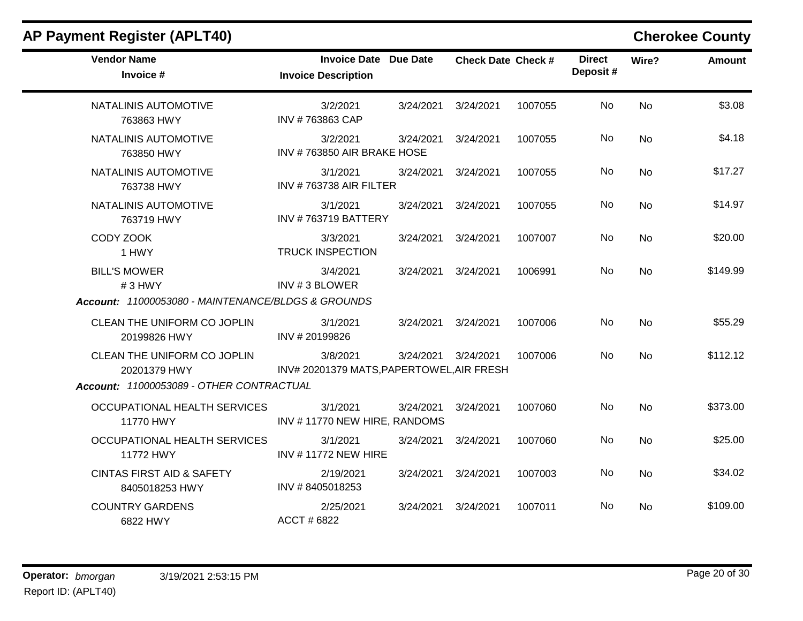### **Vendor Name Invoice Date Due Date Check Date Invoice # Check Date Check # Invoice Description Direct Wire? Amount Deposit #** NATALINIS AUTOMOTIVE 763863 HWY 3/2/2021 3/24/2021 3/24/2021 1007055 No \$3.08 INV # 763863 CAP No NATALINIS AUTOMOTIVE 763850 HWY 3/2/2021 3/24/2021 3/24/2021 1007055 No \$4.18 INV # 763850 AIR BRAKE HOSE No NATALINIS AUTOMOTIVE 763738 HWY 3/1/2021 3/24/2021 3/24/2021 1007055 No \$17.27 INV # 763738 AIR FILTER No NATALINIS AUTOMOTIVE 763719 HWY 3/1/2021 3/24/2021 3/24/2021 1007055 No \$14.97 INV # 763719 BATTERY No CODY ZOOK 1 HWY 3/3/2021 3/24/2021 3/24/2021 1007007 No \$20.00 TRUCK INSPECTION No BILL'S MOWER # 3 HWY 3/4/2021 3/24/2021 3/24/2021 1006991 No \$149.99 INV # 3 BLOWER No *Account: 11000053080 - MAINTENANCE/BLDGS & GROUNDS* CLEAN THE UNIFORM CO JOPLIN 20199826 HWY 3/1/2021 3/24/2021 3/24/2021 1007006 No \$55.29 INV # 20199826 No CLEAN THE UNIFORM CO JOPLIN 20201379 HWY 3/8/2021 3/24/2021 3/24/2021 1007006 No \$112.12 INV# 20201379 MATS,PAPERTOWEL,AIR FRESH No *Account: 11000053089 - OTHER CONTRACTUAL* OCCUPATIONAL HEALTH SERVICES 11770 HWY 3/1/2021 3/24/2021 3/24/2021 1007060 No \$373.00 INV # 11770 NEW HIRE, RANDOMS No OCCUPATIONAL HEALTH SERVICES 11772 HWY 3/1/2021 3/24/2021 3/24/2021 1007060 No \$25.00 INV # 11772 NEW HIRE No CINTAS FIRST AID & SAFETY 8405018253 HWY 2/19/2021 3/24/2021 3/24/2021 1007003 No \$34.02 INV # 8405018253 No COUNTRY GARDENS 6822 HWY 2/25/2021 3/24/2021 3/24/2021 1007011 No \$109.00 ACCT # 6822 No

**AP Payment Register (APLT40) Cherokee County**

### **Operator:** bmorgan 3/19/2021 2:53:15 PM Report ID: (APLT40)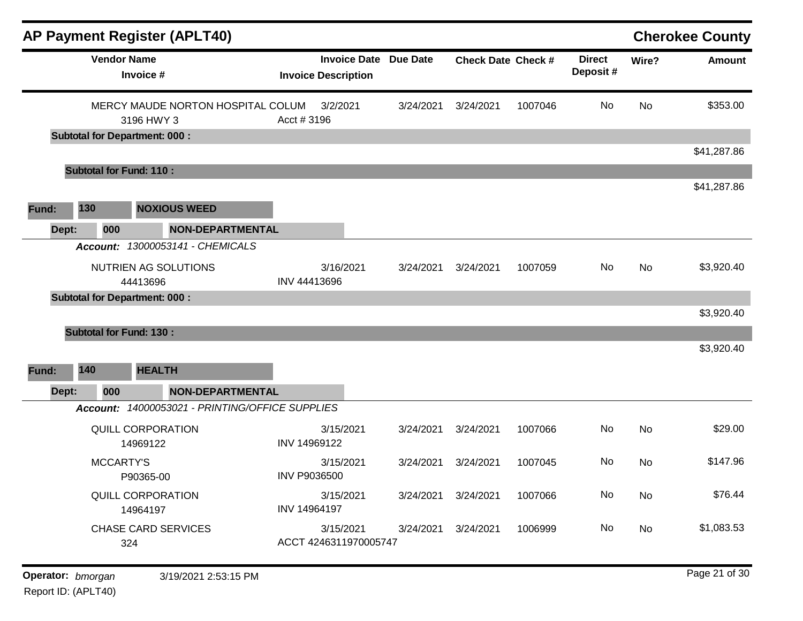|                                          |                                      |                                                 | <b>AP Payment Register (APLT40)</b>             |                                    |                              |                           |         |                           |            | <b>Cherokee County</b> |
|------------------------------------------|--------------------------------------|-------------------------------------------------|-------------------------------------------------|------------------------------------|------------------------------|---------------------------|---------|---------------------------|------------|------------------------|
|                                          | <b>Vendor Name</b>                   | Invoice #                                       |                                                 | <b>Invoice Description</b>         | <b>Invoice Date Due Date</b> | <b>Check Date Check #</b> |         | <b>Direct</b><br>Deposit# | Wire?      | <b>Amount</b>          |
|                                          |                                      | 3196 HWY 3                                      | MERCY MAUDE NORTON HOSPITAL COLUM               | 3/2/2021<br>Acct #3196             | 3/24/2021                    | 3/24/2021                 | 1007046 | No                        | <b>No</b>  | \$353.00               |
|                                          |                                      | <b>Subtotal for Department: 000:</b>            |                                                 |                                    |                              |                           |         |                           |            |                        |
|                                          |                                      | <b>Subtotal for Fund: 110:</b>                  |                                                 |                                    |                              |                           |         |                           |            | \$41,287.86            |
|                                          |                                      |                                                 |                                                 |                                    |                              |                           |         |                           |            | \$41,287.86            |
| Fund:                                    | 130                                  |                                                 | <b>NOXIOUS WEED</b>                             |                                    |                              |                           |         |                           |            |                        |
| Dept:                                    | 000                                  |                                                 | <b>NON-DEPARTMENTAL</b>                         |                                    |                              |                           |         |                           |            |                        |
|                                          | <b>Account:</b>                      |                                                 | 13000053141 - CHEMICALS                         |                                    |                              |                           |         |                           |            |                        |
|                                          | NUTRIEN AG SOLUTIONS<br>44413696     |                                                 | 3/16/2021<br>INV 44413696                       | 3/24/2021                          | 3/24/2021                    | 1007059                   | No.     | No                        | \$3,920.40 |                        |
|                                          |                                      | <b>Subtotal for Department: 000:</b>            |                                                 |                                    |                              |                           |         |                           |            |                        |
| Fund:                                    | 140                                  | <b>Subtotal for Fund: 130:</b><br><b>HEALTH</b> |                                                 |                                    |                              |                           |         |                           |            | \$3,920.40             |
| Dept:                                    | 000                                  |                                                 | <b>NON-DEPARTMENTAL</b>                         |                                    |                              |                           |         |                           |            |                        |
|                                          |                                      |                                                 | Account: 14000053021 - PRINTING/OFFICE SUPPLIES |                                    |                              |                           |         |                           |            |                        |
|                                          |                                      | <b>QUILL CORPORATION</b><br>14969122            |                                                 | 3/15/2021<br>INV 14969122          | 3/24/2021                    | 3/24/2021                 | 1007066 | No                        | <b>No</b>  | \$29.00                |
|                                          | MCCARTY'S                            | P90365-00                                       |                                                 | 3/15/2021<br>INV P9036500          | 3/24/2021                    | 3/24/2021                 | 1007045 | No                        | No         | \$147.96               |
|                                          | <b>QUILL CORPORATION</b><br>14964197 |                                                 | 3/15/2021<br>INV 14964197                       | 3/24/2021                          | 3/24/2021                    | 1007066                   | No      | No                        | \$76.44    |                        |
|                                          | <b>CHASE CARD SERVICES</b><br>324    |                                                 |                                                 | 3/15/2021<br>ACCT 4246311970005747 | 3/24/2021                    | 3/24/2021                 | 1006999 | No                        | No         | \$1,083.53             |
|                                          |                                      |                                                 |                                                 |                                    |                              |                           |         |                           |            | Page 21 of 30          |
| Operator: bmorgan<br>Report ID: (APLT40) |                                      |                                                 | 3/19/2021 2:53:15 PM                            |                                    |                              |                           |         |                           |            |                        |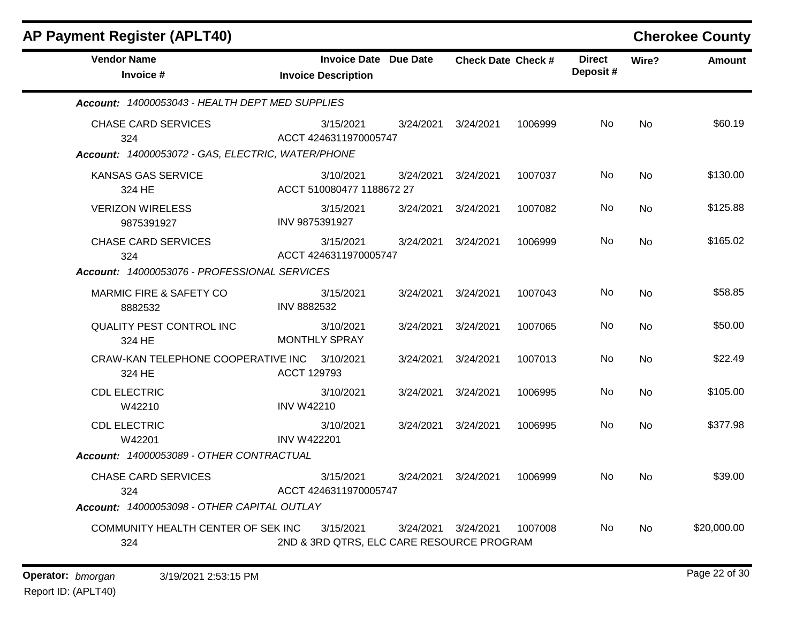| <b>Vendor Name</b><br>Invoice #                   |                    | <b>Invoice Date Due Date</b><br><b>Invoice Description</b> |           | <b>Check Date Check #</b> |         | <b>Direct</b><br>Deposit# | Wire?     | <b>Amount</b> |
|---------------------------------------------------|--------------------|------------------------------------------------------------|-----------|---------------------------|---------|---------------------------|-----------|---------------|
| Account: 14000053043 - HEALTH DEPT MED SUPPLIES   |                    |                                                            |           |                           |         |                           |           |               |
| <b>CHASE CARD SERVICES</b><br>324                 |                    | 3/15/2021<br>ACCT 4246311970005747                         | 3/24/2021 | 3/24/2021                 | 1006999 | No                        | <b>No</b> | \$60.19       |
| Account: 14000053072 - GAS, ELECTRIC, WATER/PHONE |                    |                                                            |           |                           |         |                           |           |               |
| <b>KANSAS GAS SERVICE</b><br>324 HE               |                    | 3/10/2021<br>ACCT 510080477 1188672 27                     | 3/24/2021 | 3/24/2021                 | 1007037 | No.                       | <b>No</b> | \$130.00      |
| <b>VERIZON WIRELESS</b><br>9875391927             |                    | 3/15/2021<br>INV 9875391927                                | 3/24/2021 | 3/24/2021                 | 1007082 | No.                       | <b>No</b> | \$125.88      |
| <b>CHASE CARD SERVICES</b><br>324                 |                    | 3/15/2021<br>ACCT 4246311970005747                         | 3/24/2021 | 3/24/2021                 | 1006999 | No.                       | <b>No</b> | \$165.02      |
| Account: 14000053076 - PROFESSIONAL SERVICES      |                    |                                                            |           |                           |         |                           |           |               |
| MARMIC FIRE & SAFETY CO<br>8882532                | INV 8882532        | 3/15/2021                                                  | 3/24/2021 | 3/24/2021                 | 1007043 | No.                       | <b>No</b> | \$58.85       |
| <b>QUALITY PEST CONTROL INC</b><br>324 HE         |                    | 3/10/2021<br><b>MONTHLY SPRAY</b>                          | 3/24/2021 | 3/24/2021                 | 1007065 | No                        | <b>No</b> | \$50.00       |
| CRAW-KAN TELEPHONE COOPERATIVE INC<br>324 HE      | ACCT 129793        | 3/10/2021                                                  | 3/24/2021 | 3/24/2021                 | 1007013 | No.                       | <b>No</b> | \$22.49       |
| <b>CDL ELECTRIC</b><br>W42210                     | <b>INV W42210</b>  | 3/10/2021                                                  | 3/24/2021 | 3/24/2021                 | 1006995 | No.                       | <b>No</b> | \$105.00      |
| <b>CDL ELECTRIC</b><br>W42201                     | <b>INV W422201</b> | 3/10/2021                                                  | 3/24/2021 | 3/24/2021                 | 1006995 | No.                       | <b>No</b> | \$377.98      |
| Account: 14000053089 - OTHER CONTRACTUAL          |                    |                                                            |           |                           |         |                           |           |               |
| <b>CHASE CARD SERVICES</b><br>324                 |                    | 3/15/2021<br>ACCT 4246311970005747                         | 3/24/2021 | 3/24/2021                 | 1006999 | No.                       | <b>No</b> | \$39.00       |
| Account: 14000053098 - OTHER CAPITAL OUTLAY       |                    |                                                            |           |                           |         |                           |           |               |
| COMMUNITY HEALTH CENTER OF SEK INC<br>324         |                    | 3/15/2021<br>2ND & 3RD QTRS, ELC CARE RESOURCE PROGRAM     | 3/24/2021 | 3/24/2021                 | 1007008 | No.                       | <b>No</b> | \$20,000.00   |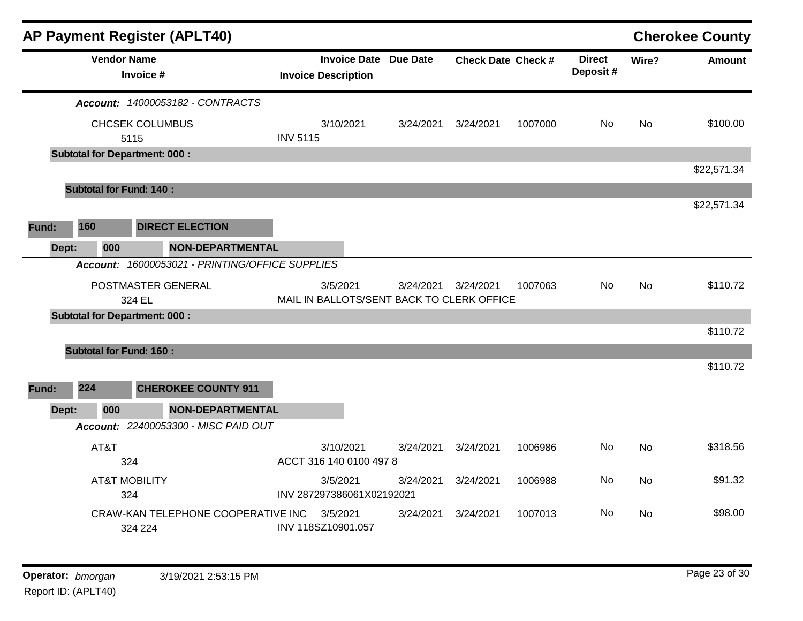|       |                                               |                    | <b>AP Payment Register (APLT40)</b>             |                                       |                                                            |           |                           |         |                            |           | <b>Cherokee County</b> |
|-------|-----------------------------------------------|--------------------|-------------------------------------------------|---------------------------------------|------------------------------------------------------------|-----------|---------------------------|---------|----------------------------|-----------|------------------------|
|       |                                               | <b>Vendor Name</b> | Invoice #                                       |                                       | <b>Invoice Date Due Date</b><br><b>Invoice Description</b> |           | <b>Check Date Check #</b> |         | <b>Direct</b><br>Deposit # | Wire?     | <b>Amount</b>          |
|       |                                               |                    | Account: 14000053182 - CONTRACTS                |                                       |                                                            |           |                           |         |                            |           |                        |
|       |                                               |                    | <b>CHCSEK COLUMBUS</b><br>5115                  | <b>INV 5115</b>                       | 3/10/2021                                                  | 3/24/2021 | 3/24/2021                 | 1007000 | <b>No</b>                  | <b>No</b> | \$100.00               |
|       |                                               |                    | <b>Subtotal for Department: 000:</b>            |                                       |                                                            |           |                           |         |                            |           |                        |
|       |                                               |                    |                                                 |                                       |                                                            |           |                           |         |                            |           | \$22,571.34            |
|       |                                               |                    | <b>Subtotal for Fund: 140:</b>                  |                                       |                                                            |           |                           |         |                            |           |                        |
|       |                                               |                    |                                                 |                                       |                                                            |           |                           |         |                            |           | \$22,571.34            |
| Fund: | 160                                           |                    | <b>DIRECT ELECTION</b>                          |                                       |                                                            |           |                           |         |                            |           |                        |
| Dept: |                                               | 000                | <b>NON-DEPARTMENTAL</b>                         |                                       |                                                            |           |                           |         |                            |           |                        |
|       |                                               |                    | Account: 16000053021 - PRINTING/OFFICE SUPPLIES |                                       |                                                            |           |                           |         |                            |           |                        |
|       |                                               |                    | POSTMASTER GENERAL<br>324 EL                    |                                       | 3/5/2021<br>MAIL IN BALLOTS/SENT BACK TO CLERK OFFICE      | 3/24/2021 | 3/24/2021                 | 1007063 | No.                        | <b>No</b> | \$110.72               |
|       |                                               |                    | <b>Subtotal for Department: 000:</b>            |                                       |                                                            |           |                           |         |                            |           |                        |
|       |                                               |                    |                                                 |                                       |                                                            |           |                           |         |                            |           | \$110.72               |
|       |                                               |                    | <b>Subtotal for Fund: 160:</b>                  |                                       |                                                            |           |                           |         |                            |           |                        |
| Fund: | 224                                           |                    | <b>CHEROKEE COUNTY 911</b>                      |                                       |                                                            |           |                           |         |                            |           | \$110.72               |
|       |                                               |                    |                                                 |                                       |                                                            |           |                           |         |                            |           |                        |
| Dept: |                                               | 000                | <b>NON-DEPARTMENTAL</b>                         |                                       |                                                            |           |                           |         |                            |           |                        |
|       |                                               |                    | Account: 22400053300 - MISC PAID OUT            |                                       |                                                            |           |                           |         |                            |           |                        |
|       |                                               | AT&T<br>324        |                                                 |                                       | 3/10/2021<br>ACCT 316 140 0100 497 8                       | 3/24/2021 | 3/24/2021                 | 1006986 | No                         | <b>No</b> | \$318.56               |
|       | <b>AT&amp;T MOBILITY</b><br>324               |                    |                                                 | 3/5/2021<br>INV 287297386061X02192021 | 3/24/2021                                                  | 3/24/2021 | 1006988                   | No      | <b>No</b>                  | \$91.32   |                        |
|       | CRAW-KAN TELEPHONE COOPERATIVE INC<br>324 224 |                    |                                                 | 3/5/2021<br>INV 118SZ10901.057        | 3/24/2021                                                  | 3/24/2021 | 1007013                   | No      | <b>No</b>                  | \$98.00   |                        |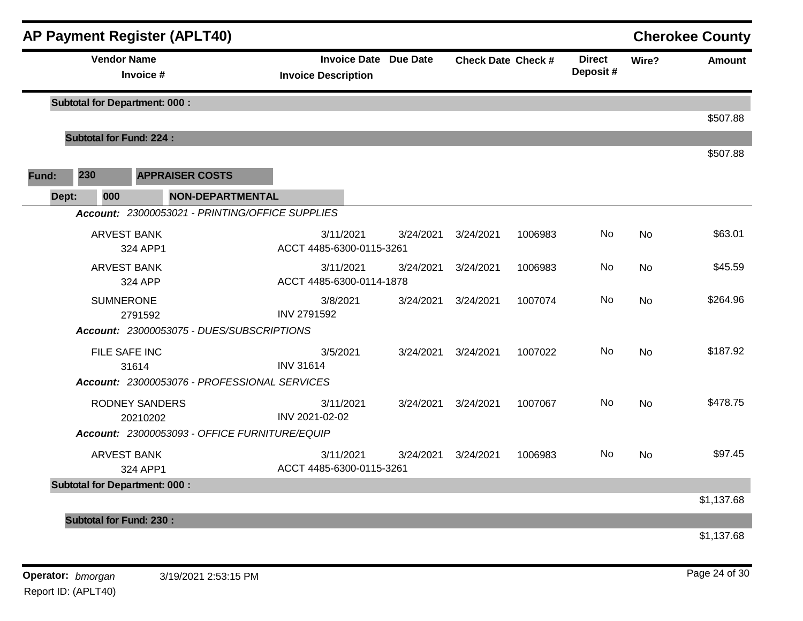|       |                               | <b>AP Payment Register (APLT40)</b>             |                                                            |           |                           |         |                            |           | <b>Cherokee County</b> |
|-------|-------------------------------|-------------------------------------------------|------------------------------------------------------------|-----------|---------------------------|---------|----------------------------|-----------|------------------------|
|       |                               | <b>Vendor Name</b><br>Invoice #                 | <b>Invoice Date Due Date</b><br><b>Invoice Description</b> |           | <b>Check Date Check #</b> |         | <b>Direct</b><br>Deposit # | Wire?     | <b>Amount</b>          |
|       |                               | <b>Subtotal for Department: 000:</b>            |                                                            |           |                           |         |                            |           |                        |
|       |                               |                                                 |                                                            |           |                           |         |                            |           | \$507.88               |
|       |                               | <b>Subtotal for Fund: 224:</b>                  |                                                            |           |                           |         |                            |           | \$507.88               |
| Fund: | 230                           | <b>APPRAISER COSTS</b>                          |                                                            |           |                           |         |                            |           |                        |
|       | 000<br>Dept:                  | <b>NON-DEPARTMENTAL</b>                         |                                                            |           |                           |         |                            |           |                        |
|       |                               | Account: 23000053021 - PRINTING/OFFICE SUPPLIES |                                                            |           |                           |         |                            |           |                        |
|       |                               | <b>ARVEST BANK</b><br>324 APP1                  | 3/11/2021<br>ACCT 4485-6300-0115-3261                      | 3/24/2021 | 3/24/2021                 | 1006983 | No                         | <b>No</b> | \$63.01                |
|       | <b>ARVEST BANK</b><br>324 APP |                                                 | 3/11/2021<br>ACCT 4485-6300-0114-1878                      | 3/24/2021 | 3/24/2021                 | 1006983 | No                         | <b>No</b> | \$45.59                |
|       |                               | <b>SUMNERONE</b><br>2791592                     | 3/8/2021<br><b>INV 2791592</b>                             | 3/24/2021 | 3/24/2021                 | 1007074 | No                         | <b>No</b> | \$264.96               |
|       |                               | Account: 23000053075 - DUES/SUBSCRIPTIONS       |                                                            |           |                           |         |                            |           |                        |
|       |                               | FILE SAFE INC<br>31614                          | 3/5/2021<br><b>INV 31614</b>                               | 3/24/2021 | 3/24/2021                 | 1007022 | No                         | <b>No</b> | \$187.92               |
|       |                               | Account: 23000053076 - PROFESSIONAL SERVICES    |                                                            |           |                           |         |                            |           |                        |
|       |                               | <b>RODNEY SANDERS</b><br>20210202               | 3/11/2021<br>INV 2021-02-02                                | 3/24/2021 | 3/24/2021                 | 1007067 | No                         | <b>No</b> | \$478.75               |
|       |                               | Account: 23000053093 - OFFICE FURNITURE/EQUIP   |                                                            |           |                           |         |                            |           |                        |
|       |                               | <b>ARVEST BANK</b><br>324 APP1                  | 3/11/2021<br>ACCT 4485-6300-0115-3261                      | 3/24/2021 | 3/24/2021                 | 1006983 | No                         | <b>No</b> | \$97.45                |
|       |                               | <b>Subtotal for Department: 000:</b>            |                                                            |           |                           |         |                            |           | \$1,137.68             |
|       |                               | <b>Subtotal for Fund: 230:</b>                  |                                                            |           |                           |         |                            |           |                        |
|       |                               |                                                 |                                                            |           |                           |         |                            |           | \$1,137.68             |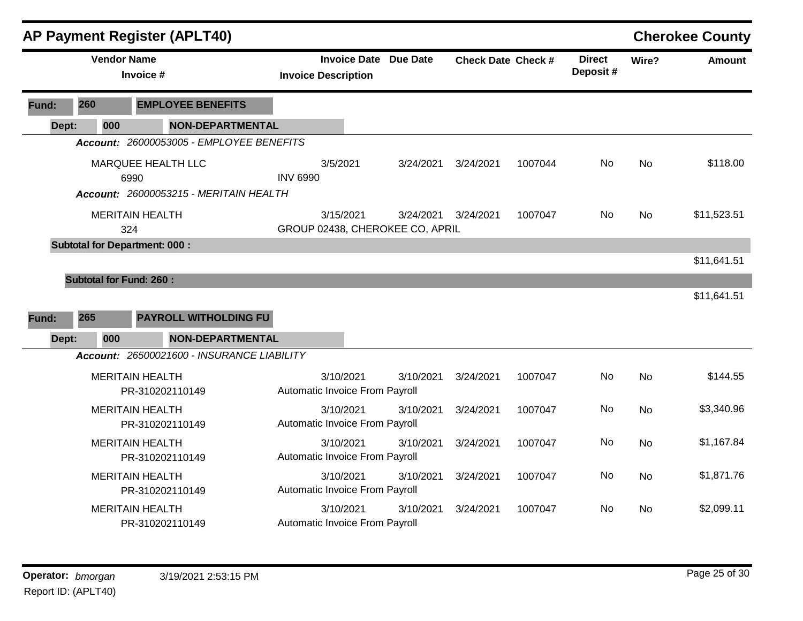|                                                                      |                                           |           | <b>AP Payment Register (APLT40)</b>        |                                                               |           |                           |           |                           |           |               | <b>Cherokee County</b> |
|----------------------------------------------------------------------|-------------------------------------------|-----------|--------------------------------------------|---------------------------------------------------------------|-----------|---------------------------|-----------|---------------------------|-----------|---------------|------------------------|
|                                                                      | <b>Vendor Name</b>                        | Invoice # |                                            | <b>Invoice Date</b><br>Due Date<br><b>Invoice Description</b> |           | <b>Check Date Check #</b> |           | <b>Direct</b><br>Deposit# | Wire?     | <b>Amount</b> |                        |
| Fund:                                                                | 260                                       |           | <b>EMPLOYEE BENEFITS</b>                   |                                                               |           |                           |           |                           |           |               |                        |
| Dept:                                                                | 000                                       |           | <b>NON-DEPARTMENTAL</b>                    |                                                               |           |                           |           |                           |           |               |                        |
|                                                                      |                                           |           | Account: 26000053005 - EMPLOYEE BENEFITS   |                                                               |           |                           |           |                           |           |               |                        |
| MARQUEE HEALTH LLC<br>6990<br>Account: 26000053215 - MERITAIN HEALTH |                                           |           | 3/5/2021<br><b>INV 6990</b>                |                                                               | 3/24/2021 | 3/24/2021                 | 1007044   | No                        | <b>No</b> | \$118.00      |                        |
|                                                                      | <b>MERITAIN HEALTH</b><br>324             |           |                                            | 3/15/2021<br>GROUP 02438, CHEROKEE CO, APRIL                  |           | 3/24/2021                 | 3/24/2021 | 1007047                   | No        | <b>No</b>     | \$11,523.51            |
|                                                                      | <b>Subtotal for Department: 000:</b>      |           |                                            |                                                               |           |                           |           |                           |           |               | \$11,641.51            |
| Fund:                                                                | <b>Subtotal for Fund: 260:</b><br>265     |           | <b>PAYROLL WITHOLDING FU</b>               |                                                               |           |                           |           |                           |           |               | \$11,641.51            |
| Dept:                                                                | 000                                       |           | <b>NON-DEPARTMENTAL</b>                    |                                                               |           |                           |           |                           |           |               |                        |
|                                                                      |                                           |           | Account: 26500021600 - INSURANCE LIABILITY |                                                               |           |                           |           |                           |           |               |                        |
|                                                                      | <b>MERITAIN HEALTH</b>                    |           | PR-310202110149                            | 3/10/2021<br>Automatic Invoice From Payroll                   |           | 3/10/2021                 | 3/24/2021 | 1007047                   | No        | <b>No</b>     | \$144.55               |
|                                                                      | <b>MERITAIN HEALTH</b><br>PR-310202110149 |           |                                            | Automatic Invoice From Payroll                                | 3/10/2021 | 3/10/2021                 | 3/24/2021 | 1007047                   | No        | <b>No</b>     | \$3,340.96             |
|                                                                      | <b>MERITAIN HEALTH</b><br>PR-310202110149 |           |                                            | 3/10/2021<br>Automatic Invoice From Payroll                   |           | 3/10/2021                 | 3/24/2021 | 1007047                   | No        | <b>No</b>     | \$1,167.84             |
|                                                                      | <b>MERITAIN HEALTH</b><br>PR-310202110149 |           |                                            | Automatic Invoice From Payroll                                | 3/10/2021 | 3/10/2021                 | 3/24/2021 | 1007047                   | No        | <b>No</b>     | \$1,871.76             |
|                                                                      | <b>MERITAIN HEALTH</b>                    |           | PR-310202110149                            | Automatic Invoice From Payroll                                | 3/10/2021 | 3/10/2021                 | 3/24/2021 | 1007047                   | No        | <b>No</b>     | \$2,099.11             |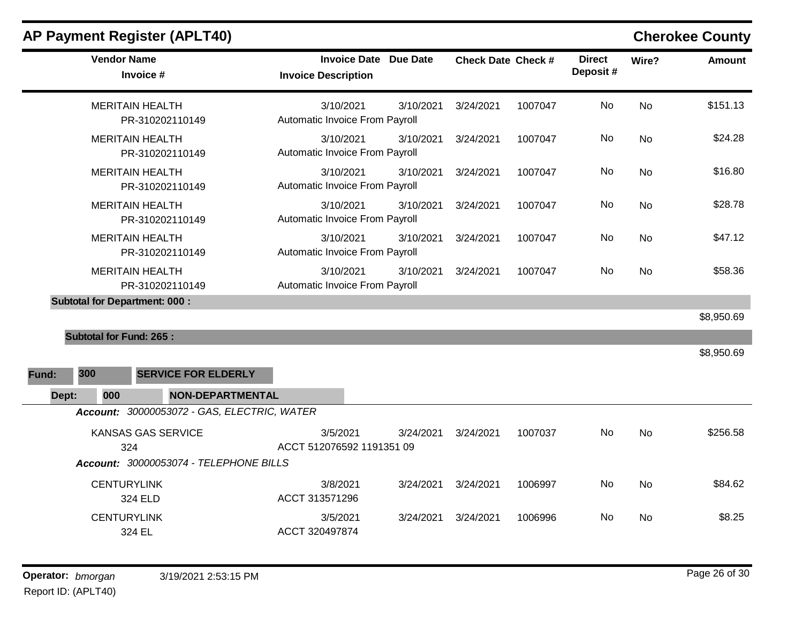| <b>Vendor Name</b><br>Invoice #             | <b>Invoice Date Due Date</b><br><b>Invoice Description</b> | <b>Check Date Check #</b> |         | <b>Direct</b><br>Deposit# | Wire?     | <b>Amount</b> |
|---------------------------------------------|------------------------------------------------------------|---------------------------|---------|---------------------------|-----------|---------------|
| <b>MERITAIN HEALTH</b><br>PR-310202110149   | 3/10/2021<br>3/10/2021<br>Automatic Invoice From Payroll   | 3/24/2021                 | 1007047 | No                        | <b>No</b> | \$151.13      |
| <b>MERITAIN HEALTH</b><br>PR-310202110149   | 3/10/2021<br>3/10/2021<br>Automatic Invoice From Payroll   | 3/24/2021                 | 1007047 | No                        | <b>No</b> | \$24.28       |
| <b>MERITAIN HEALTH</b><br>PR-310202110149   | 3/10/2021<br>3/10/2021<br>Automatic Invoice From Payroll   | 3/24/2021                 | 1007047 | No                        | No        | \$16.80       |
| <b>MERITAIN HEALTH</b><br>PR-310202110149   | 3/10/2021<br>3/10/2021<br>Automatic Invoice From Payroll   | 3/24/2021                 | 1007047 | No                        | <b>No</b> | \$28.78       |
| <b>MERITAIN HEALTH</b><br>PR-310202110149   | 3/10/2021<br>3/10/2021<br>Automatic Invoice From Payroll   | 3/24/2021                 | 1007047 | No                        | <b>No</b> | \$47.12       |
| <b>MERITAIN HEALTH</b><br>PR-310202110149   | 3/10/2021<br>3/10/2021<br>Automatic Invoice From Payroll   | 3/24/2021                 | 1007047 | No                        | <b>No</b> | \$58.36       |
| <b>Subtotal for Department: 000:</b>        |                                                            |                           |         |                           |           |               |
|                                             |                                                            |                           |         |                           |           | \$8,950.69    |
| <b>Subtotal for Fund: 265:</b>              |                                                            |                           |         |                           |           |               |
|                                             |                                                            |                           |         |                           |           | \$8,950.69    |
| 300<br><b>SERVICE FOR ELDERLY</b><br>Fund:  |                                                            |                           |         |                           |           |               |
| 000<br><b>NON-DEPARTMENTAL</b><br>Dept:     |                                                            |                           |         |                           |           |               |
| Account: 30000053072 - GAS, ELECTRIC, WATER |                                                            |                           |         |                           |           |               |
| <b>KANSAS GAS SERVICE</b><br>324            | 3/5/2021<br>3/24/2021<br>ACCT 512076592 1191351 09         | 3/24/2021                 | 1007037 | <b>No</b>                 | <b>No</b> | \$256.58      |
| Account: 30000053074 - TELEPHONE BILLS      |                                                            |                           |         |                           |           |               |
| <b>CENTURYLINK</b><br>324 ELD               | 3/8/2021<br>3/24/2021<br>ACCT 313571296                    | 3/24/2021                 | 1006997 | No                        | <b>No</b> | \$84.62       |
| <b>CENTURYLINK</b><br>324 EL                | 3/5/2021<br>3/24/2021<br>ACCT 320497874                    | 3/24/2021                 | 1006996 | No                        | <b>No</b> | \$8.25        |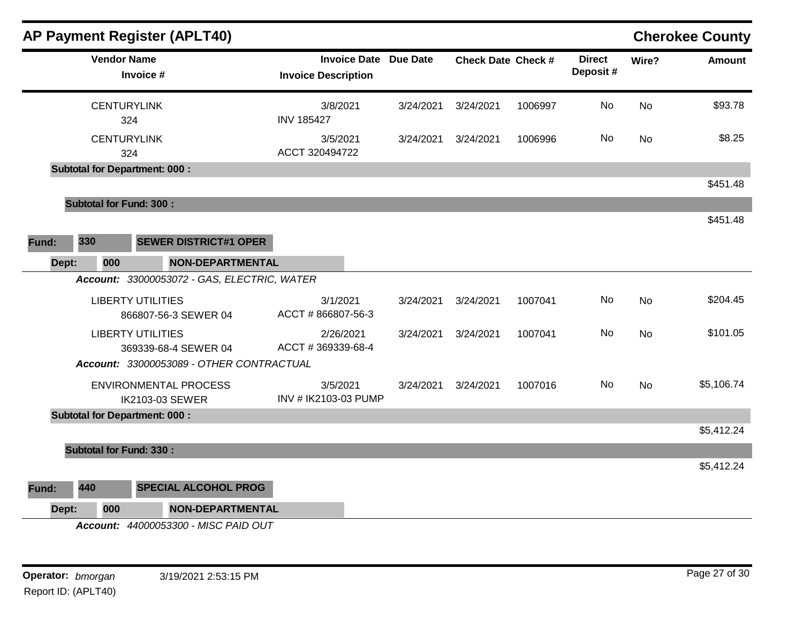|       |                                | <b>AP Payment Register (APLT40)</b>                                    |                                                            |           |                           |         |                           |           | <b>Cherokee County</b> |
|-------|--------------------------------|------------------------------------------------------------------------|------------------------------------------------------------|-----------|---------------------------|---------|---------------------------|-----------|------------------------|
|       | <b>Vendor Name</b>             | Invoice #                                                              | <b>Invoice Date Due Date</b><br><b>Invoice Description</b> |           | <b>Check Date Check #</b> |         | <b>Direct</b><br>Deposit# | Wire?     | <b>Amount</b>          |
|       | <b>CENTURYLINK</b><br>324      |                                                                        | 3/8/2021<br><b>INV 185427</b>                              | 3/24/2021 | 3/24/2021                 | 1006997 | No                        | <b>No</b> | \$93.78                |
|       | <b>CENTURYLINK</b><br>324      |                                                                        | 3/5/2021<br>ACCT 320494722                                 | 3/24/2021 | 3/24/2021                 | 1006996 | No                        | <b>No</b> | \$8.25                 |
|       |                                | <b>Subtotal for Department: 000:</b>                                   |                                                            |           |                           |         |                           |           |                        |
|       |                                |                                                                        |                                                            |           |                           |         |                           |           | \$451.48               |
|       | <b>Subtotal for Fund: 300:</b> |                                                                        |                                                            |           |                           |         |                           |           | \$451.48               |
|       | 330                            | <b>SEWER DISTRICT#1 OPER</b>                                           |                                                            |           |                           |         |                           |           |                        |
| Fund: |                                |                                                                        |                                                            |           |                           |         |                           |           |                        |
| Dept: | 000                            | <b>NON-DEPARTMENTAL</b><br>Account: 33000053072 - GAS, ELECTRIC, WATER |                                                            |           |                           |         |                           |           |                        |
|       |                                | <b>LIBERTY UTILITIES</b>                                               | 3/1/2021                                                   | 3/24/2021 | 3/24/2021                 | 1007041 | No                        | <b>No</b> | \$204.45               |
|       |                                | 866807-56-3 SEWER 04                                                   | ACCT #866807-56-3                                          |           |                           |         |                           |           |                        |
|       |                                | <b>LIBERTY UTILITIES</b><br>369339-68-4 SEWER 04                       | 2/26/2021<br>ACCT #369339-68-4                             | 3/24/2021 | 3/24/2021                 | 1007041 | No                        | <b>No</b> | \$101.05               |
|       |                                | Account: 33000053089 - OTHER CONTRACTUAL                               |                                                            |           |                           |         |                           |           |                        |
|       |                                | <b>ENVIRONMENTAL PROCESS</b><br>IK2103-03 SEWER                        | 3/5/2021<br>INV # IK2103-03 PUMP                           | 3/24/2021 | 3/24/2021                 | 1007016 | No                        | <b>No</b> | \$5,106.74             |
|       |                                | <b>Subtotal for Department: 000:</b>                                   |                                                            |           |                           |         |                           |           |                        |
|       |                                |                                                                        |                                                            |           |                           |         |                           |           | \$5,412.24             |
|       | <b>Subtotal for Fund: 330:</b> |                                                                        |                                                            |           |                           |         |                           |           |                        |
|       |                                |                                                                        |                                                            |           |                           |         |                           |           | \$5,412.24             |
| Fund: | 440                            | <b>SPECIAL ALCOHOL PROG</b>                                            |                                                            |           |                           |         |                           |           |                        |
| Dept: | 000                            | <b>NON-DEPARTMENTAL</b>                                                |                                                            |           |                           |         |                           |           |                        |
|       |                                | Account: 44000053300 - MISC PAID OUT                                   |                                                            |           |                           |         |                           |           |                        |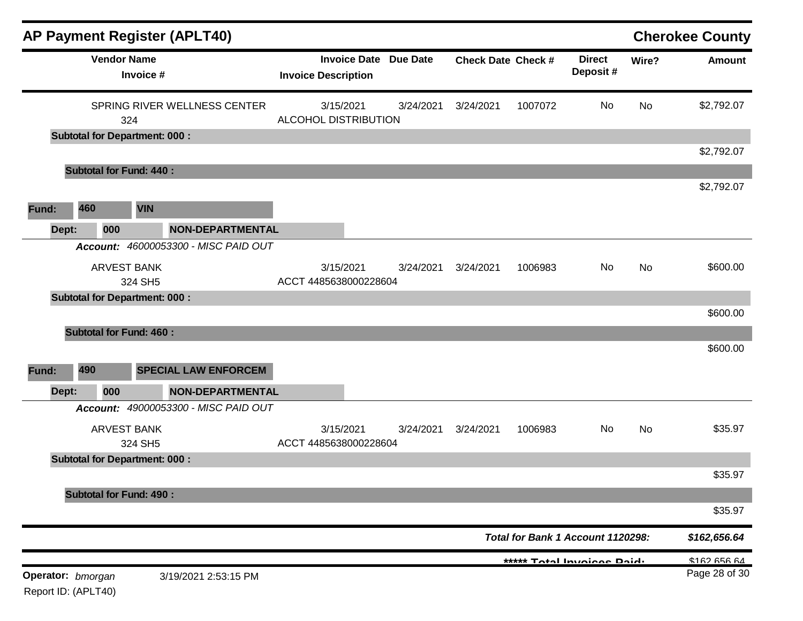|                                          |     |     |                                      | <b>AP Payment Register (APLT40)</b>  |                                    |                              |           |                                   |                            |           | <b>Cherokee County</b> |
|------------------------------------------|-----|-----|--------------------------------------|--------------------------------------|------------------------------------|------------------------------|-----------|-----------------------------------|----------------------------|-----------|------------------------|
|                                          |     |     | <b>Vendor Name</b><br>Invoice #      |                                      | <b>Invoice Description</b>         | <b>Invoice Date Due Date</b> |           | <b>Check Date Check #</b>         | <b>Direct</b><br>Deposit#  | Wire?     | <b>Amount</b>          |
|                                          |     |     | 324                                  | SPRING RIVER WELLNESS CENTER         | 3/15/2021<br>ALCOHOL DISTRIBUTION  | 3/24/2021                    | 3/24/2021 | 1007072                           | No                         | <b>No</b> | \$2,792.07             |
|                                          |     |     | <b>Subtotal for Department: 000:</b> |                                      |                                    |                              |           |                                   |                            |           |                        |
|                                          |     |     | <b>Subtotal for Fund: 440:</b>       |                                      |                                    |                              |           |                                   |                            |           | \$2,792.07             |
|                                          |     |     |                                      |                                      |                                    |                              |           |                                   |                            |           | \$2,792.07             |
| Fund:                                    | 460 |     | <b>VIN</b>                           |                                      |                                    |                              |           |                                   |                            |           |                        |
| Dept:                                    |     | 000 |                                      | <b>NON-DEPARTMENTAL</b>              |                                    |                              |           |                                   |                            |           |                        |
|                                          |     |     |                                      | Account: 46000053300 - MISC PAID OUT |                                    |                              |           |                                   |                            |           |                        |
|                                          |     |     | <b>ARVEST BANK</b><br>324 SH5        |                                      | 3/15/2021<br>ACCT 4485638000228604 | 3/24/2021                    | 3/24/2021 | 1006983                           | No                         | <b>No</b> | \$600.00               |
|                                          |     |     | <b>Subtotal for Department: 000:</b> |                                      |                                    |                              |           |                                   |                            |           |                        |
| Fund:                                    | 490 |     | <b>Subtotal for Fund: 460:</b>       | <b>SPECIAL LAW ENFORCEM</b>          |                                    |                              |           |                                   |                            |           | \$600.00<br>\$600.00   |
| Dept:                                    |     | 000 |                                      | <b>NON-DEPARTMENTAL</b>              |                                    |                              |           |                                   |                            |           |                        |
|                                          |     |     |                                      | Account: 49000053300 - MISC PAID OUT |                                    |                              |           |                                   |                            |           |                        |
|                                          |     |     | <b>ARVEST BANK</b><br>324 SH5        |                                      | 3/15/2021<br>ACCT 4485638000228604 | 3/24/2021                    | 3/24/2021 | 1006983                           | No                         | No        | \$35.97                |
|                                          |     |     | <b>Subtotal for Department: 000:</b> |                                      |                                    |                              |           |                                   |                            |           |                        |
|                                          |     |     |                                      |                                      |                                    |                              |           |                                   |                            |           | \$35.97                |
|                                          |     |     | <b>Subtotal for Fund: 490:</b>       |                                      |                                    |                              |           |                                   |                            |           | \$35.97                |
|                                          |     |     |                                      |                                      |                                    |                              |           | Total for Bank 1 Account 1120298: |                            |           | \$162,656.64           |
|                                          |     |     |                                      |                                      |                                    |                              |           |                                   | ***** Total Invoices Daid. |           | \$1626664              |
| Operator: bmorgan<br>Report ID: (APLT40) |     |     |                                      | 3/19/2021 2:53:15 PM                 |                                    |                              |           |                                   |                            |           | Page 28 of 30          |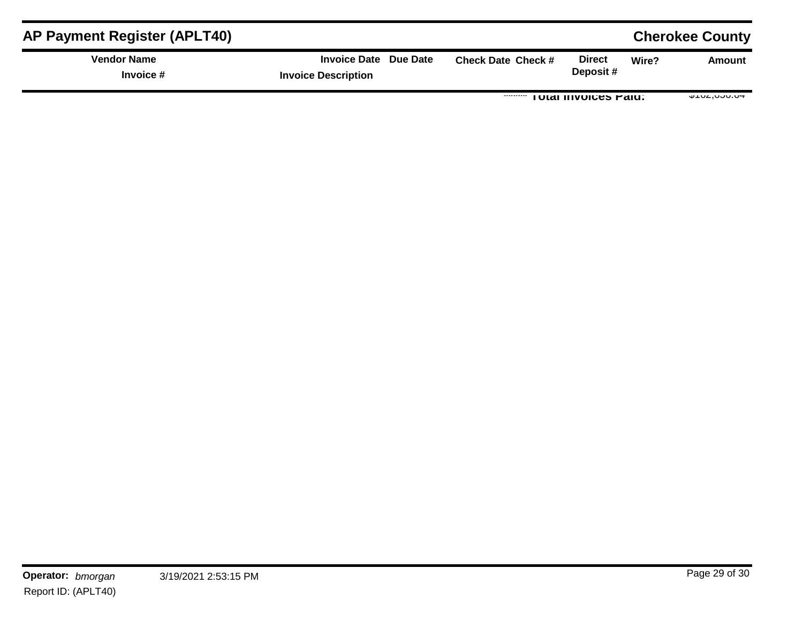| <b>AP Payment Register (APLT40)</b> |                                                     |                           |                             |       | <b>Cherokee County</b>  |
|-------------------------------------|-----------------------------------------------------|---------------------------|-----------------------------|-------|-------------------------|
| <b>Vendor Name</b><br>Invoice #     | Invoice Date Due Date<br><b>Invoice Description</b> | <b>Check Date Check #</b> | <b>Direct</b><br>Deposit#   | Wire? | Amount                  |
|                                     |                                                     |                           | <b>TOTAL INVOICES FAIU.</b> |       | $V = V - V - V - V - V$ |